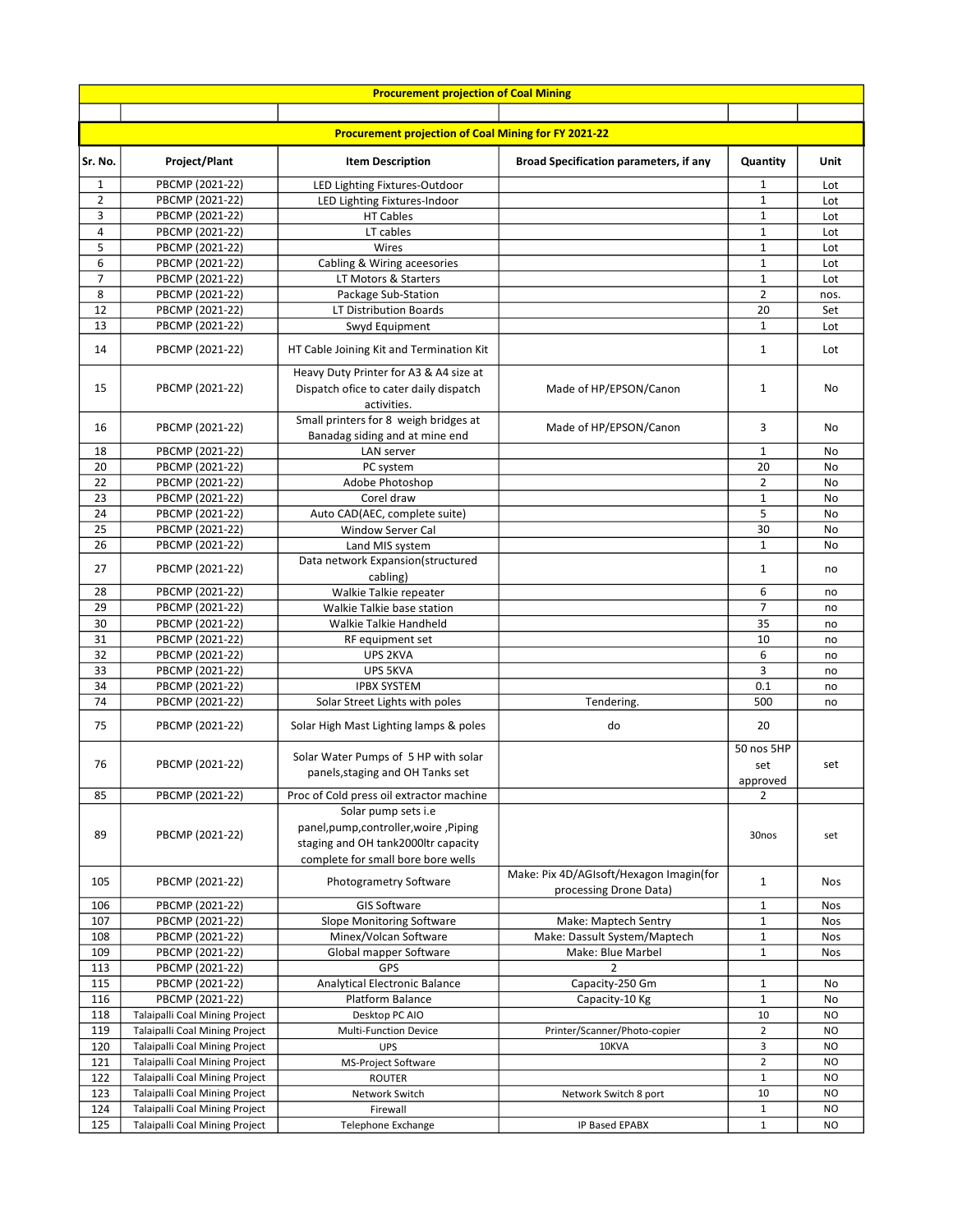|                |                                    | <b>Procurement projection of Coal Mining</b>                                                    |                                                                   |                               |            |
|----------------|------------------------------------|-------------------------------------------------------------------------------------------------|-------------------------------------------------------------------|-------------------------------|------------|
|                |                                    |                                                                                                 |                                                                   |                               |            |
|                |                                    | <b>Procurement projection of Coal Mining for FY 2021-22</b>                                     |                                                                   |                               |            |
| Sr. No.        | Project/Plant                      | <b>Item Description</b>                                                                         | <b>Broad Specification parameters, if any</b>                     | Quantity                      | Unit       |
| 1              | PBCMP (2021-22)                    | LED Lighting Fixtures-Outdoor                                                                   |                                                                   | 1                             | Lot        |
| $\overline{2}$ | PBCMP (2021-22)                    | LED Lighting Fixtures-Indoor                                                                    |                                                                   | $\mathbf{1}$                  | Lot        |
| 3              | PBCMP (2021-22)                    | <b>HT Cables</b>                                                                                |                                                                   | $\mathbf{1}$                  | Lot        |
| $\overline{4}$ | PBCMP (2021-22)                    | LT cables                                                                                       |                                                                   | $\mathbf{1}$                  | Lot        |
| 5<br>6         | PBCMP (2021-22)                    | Wires                                                                                           |                                                                   | $\mathbf{1}$<br>$\mathbf 1$   | Lot        |
| $\overline{7}$ | PBCMP (2021-22)<br>PBCMP (2021-22) | Cabling & Wiring aceesories<br>LT Motors & Starters                                             |                                                                   | $\mathbf{1}$                  | Lot<br>Lot |
| 8              | PBCMP (2021-22)                    | Package Sub-Station                                                                             |                                                                   | $\overline{2}$                | nos.       |
| 12             | PBCMP (2021-22)                    | LT Distribution Boards                                                                          |                                                                   | 20                            | Set        |
| 13             | PBCMP (2021-22)                    | Swyd Equipment                                                                                  |                                                                   | $\mathbf{1}$                  | Lot        |
|                |                                    |                                                                                                 |                                                                   |                               |            |
| 14             | PBCMP (2021-22)                    | HT Cable Joining Kit and Termination Kit                                                        |                                                                   | $\mathbf{1}$                  | Lot        |
| 15             | PBCMP (2021-22)                    | Heavy Duty Printer for A3 & A4 size at<br>Dispatch ofice to cater daily dispatch<br>activities. | Made of HP/EPSON/Canon                                            | $\mathbf{1}$                  | No         |
| 16             | PBCMP (2021-22)                    | Small printers for 8 weigh bridges at<br>Banadag siding and at mine end                         | Made of HP/EPSON/Canon                                            | 3                             | No         |
| 18             | PBCMP (2021-22)                    | LAN server                                                                                      |                                                                   | $\mathbf{1}$                  | No         |
| 20             | PBCMP (2021-22)                    | PC system                                                                                       |                                                                   | 20                            | No         |
| 22             | PBCMP (2021-22)                    | Adobe Photoshop                                                                                 |                                                                   | $\overline{2}$                | No         |
| 23             | PBCMP (2021-22)                    | Corel draw                                                                                      |                                                                   | $\mathbf{1}$                  | No         |
| 24             | PBCMP (2021-22)                    | Auto CAD(AEC, complete suite)                                                                   |                                                                   | 5                             | No         |
| 25             | PBCMP (2021-22)                    | <b>Window Server Cal</b>                                                                        |                                                                   | 30                            | No         |
| 26             | PBCMP (2021-22)                    | Land MIS system                                                                                 |                                                                   | $\mathbf{1}$                  | No         |
| 27             | PBCMP (2021-22)                    | Data network Expansion(structured<br>cabling)                                                   |                                                                   | 1                             | no         |
| 28             | PBCMP (2021-22)                    | Walkie Talkie repeater                                                                          |                                                                   | 6                             | no         |
| 29             | PBCMP (2021-22)                    | Walkie Talkie base station                                                                      |                                                                   | 7                             | no         |
| 30             | PBCMP (2021-22)                    | Walkie Talkie Handheld                                                                          |                                                                   | 35                            | no         |
| 31             | PBCMP (2021-22)                    | RF equipment set                                                                                |                                                                   | 10                            | no         |
| 32             | PBCMP (2021-22)                    | UPS 2KVA                                                                                        |                                                                   | 6                             | no         |
| 33             | PBCMP (2021-22)                    | UPS 5KVA                                                                                        |                                                                   | 3                             | no         |
| 34             | PBCMP (2021-22)                    | <b>IPBX SYSTEM</b>                                                                              |                                                                   | 0.1                           | no         |
| 74             | PBCMP (2021-22)                    | Solar Street Lights with poles                                                                  | Tendering.                                                        | 500                           | no         |
| 75             | PBCMP (2021-22)                    | Solar High Mast Lighting lamps & poles                                                          | do                                                                | 20                            |            |
| 76             | PBCMP (2021-22)                    | Solar Water Pumps of 5 HP with solar<br>panels, staging and OH Tanks set                        |                                                                   | 50 nos 5HP<br>set<br>approved | set        |
| 85             | PBCMP (2021-22)                    | Proc of Cold press oil extractor machine                                                        |                                                                   | 2                             |            |
|                |                                    | Solar pump sets i.e                                                                             |                                                                   |                               |            |
|                |                                    | panel,pump,controller,woire,Piping                                                              |                                                                   |                               |            |
| 89             | PBCMP (2021-22)                    | staging and OH tank2000ltr capacity                                                             |                                                                   | 30nos                         | set        |
|                |                                    | complete for small bore bore wells                                                              |                                                                   |                               |            |
| 105            | PBCMP (2021-22)                    | Photogrametry Software                                                                          | Make: Pix 4D/AGIsoft/Hexagon Imagin(for<br>processing Drone Data) | $\mathbf{1}$                  | Nos        |
| 106            | PBCMP (2021-22)                    | <b>GIS Software</b>                                                                             |                                                                   | 1                             | Nos        |
| 107            | PBCMP (2021-22)                    | Slope Monitoring Software                                                                       | Make: Maptech Sentry                                              | $\mathbf 1$                   | Nos        |
| 108            | PBCMP (2021-22)                    | Minex/Volcan Software                                                                           | Make: Dassult System/Maptech                                      | $\mathbf{1}$                  | Nos        |
| 109            | PBCMP (2021-22)                    | Global mapper Software                                                                          | Make: Blue Marbel                                                 | $\mathbf 1$                   | Nos        |
| 113            | PBCMP (2021-22)                    | <b>GPS</b>                                                                                      | 2                                                                 |                               |            |
| 115            | PBCMP (2021-22)                    | Analytical Electronic Balance                                                                   | Capacity-250 Gm                                                   | $\mathbf{1}$                  | No         |
| 116            | PBCMP (2021-22)                    | Platform Balance                                                                                | Capacity-10 Kg                                                    | $\mathbf 1$                   | No         |
| 118            | Talaipalli Coal Mining Project     | Desktop PC AIO                                                                                  |                                                                   | 10                            | NO         |
| 119            | Talaipalli Coal Mining Project     | Multi-Function Device                                                                           | Printer/Scanner/Photo-copier                                      | $\overline{2}$                | NO         |
| 120            | Talaipalli Coal Mining Project     | <b>UPS</b>                                                                                      | 10KVA                                                             | 3                             | NO         |
| 121            | Talaipalli Coal Mining Project     | MS-Project Software                                                                             |                                                                   | $\overline{2}$                | NO         |
| 122            | Talaipalli Coal Mining Project     | <b>ROUTER</b>                                                                                   |                                                                   | $1\,$                         | NO         |
| 123            | Talaipalli Coal Mining Project     | Network Switch                                                                                  | Network Switch 8 port                                             | 10                            | NO         |
| 124            | Talaipalli Coal Mining Project     | Firewall                                                                                        |                                                                   | $\mathbf{1}$                  | NO         |
| 125            | Talaipalli Coal Mining Project     | Telephone Exchange                                                                              | IP Based EPABX                                                    | $\mathbf{1}$                  | NO         |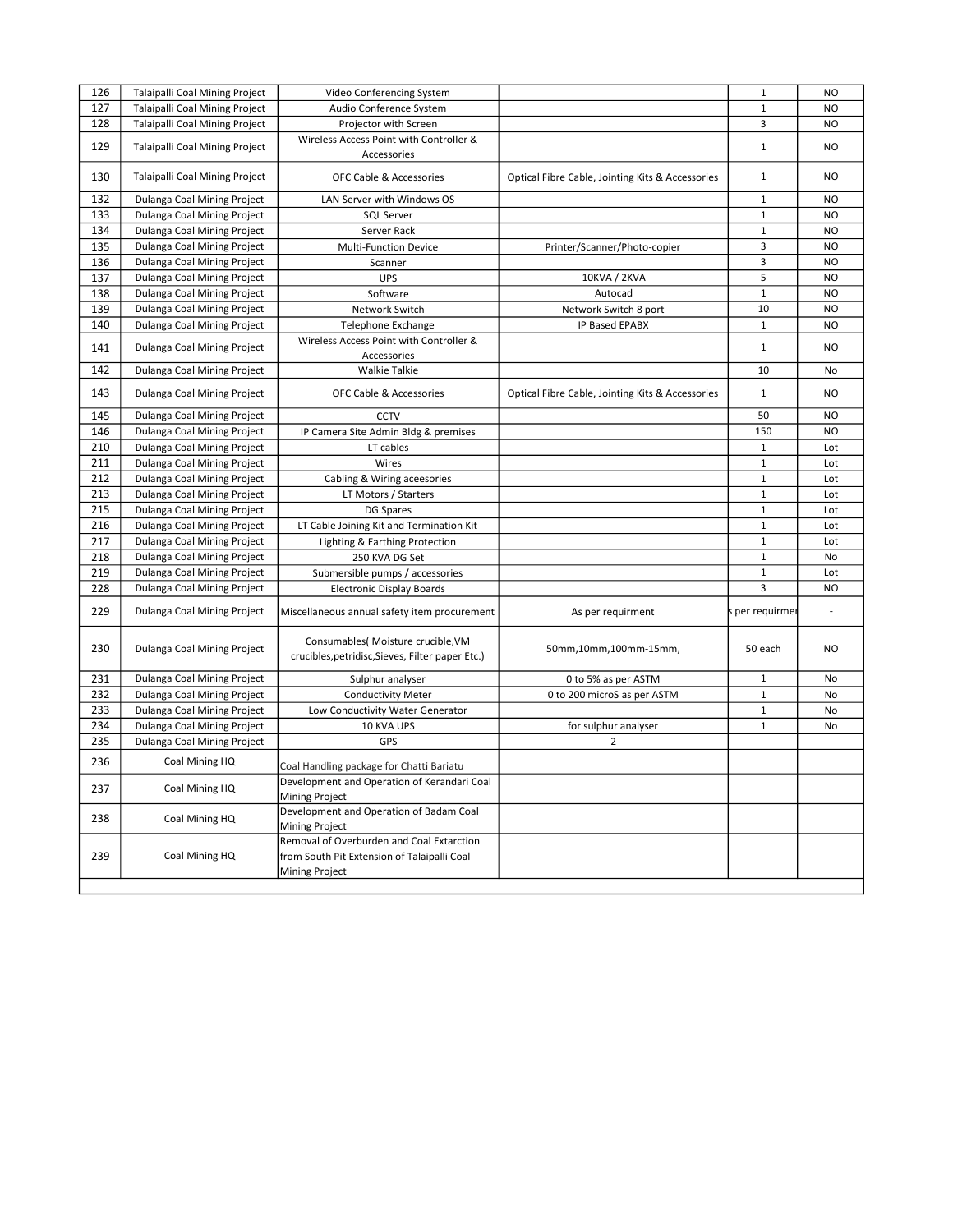| 126 |                                                                  |                                                                                                            |                                                  | $\mathbf{1}$          | N <sub>O</sub> |
|-----|------------------------------------------------------------------|------------------------------------------------------------------------------------------------------------|--------------------------------------------------|-----------------------|----------------|
| 127 | Talaipalli Coal Mining Project<br>Talaipalli Coal Mining Project | Video Conferencing System<br>Audio Conference System                                                       |                                                  | $\mathbf{1}$          | NO.            |
| 128 | Talaipalli Coal Mining Project                                   |                                                                                                            |                                                  | 3                     | NO.            |
|     |                                                                  | Projector with Screen                                                                                      |                                                  |                       |                |
| 129 | Talaipalli Coal Mining Project                                   | Wireless Access Point with Controller &<br>Accessories                                                     |                                                  | $\mathbf 1$           | NO.            |
| 130 | <b>Talaipalli Coal Mining Project</b>                            | <b>OFC Cable &amp; Accessories</b>                                                                         | Optical Fibre Cable, Jointing Kits & Accessories | $\mathbf{1}$          | NO.            |
| 132 | Dulanga Coal Mining Project                                      | LAN Server with Windows OS                                                                                 |                                                  | $\mathbf{1}$          | N <sub>O</sub> |
| 133 | Dulanga Coal Mining Project                                      | <b>SQL Server</b>                                                                                          |                                                  | $\mathbf{1}$          | N <sub>O</sub> |
| 134 | Dulanga Coal Mining Project                                      | Server Rack                                                                                                |                                                  | $\mathbf 1$           | N <sub>O</sub> |
| 135 | Dulanga Coal Mining Project                                      | Multi-Function Device                                                                                      | Printer/Scanner/Photo-copier                     | 3                     | <b>NO</b>      |
| 136 | Dulanga Coal Mining Project                                      | Scanner                                                                                                    |                                                  | 3                     | N <sub>O</sub> |
| 137 | Dulanga Coal Mining Project                                      | <b>UPS</b>                                                                                                 | 10KVA / 2KVA                                     | 5                     | N <sub>O</sub> |
| 138 | Dulanga Coal Mining Project                                      | Software                                                                                                   | Autocad                                          | $\mathbf{1}$          | <b>NO</b>      |
| 139 | Dulanga Coal Mining Project                                      | Network Switch                                                                                             | Network Switch 8 port                            | 10                    | <b>NO</b>      |
| 140 | Dulanga Coal Mining Project                                      | Telephone Exchange                                                                                         | IP Based EPABX                                   | $\mathbf 1$           | NO.            |
| 141 | Dulanga Coal Mining Project                                      | Wireless Access Point with Controller &<br>Accessories                                                     |                                                  | $\mathbf{1}$          | N <sub>O</sub> |
| 142 | Dulanga Coal Mining Project                                      | <b>Walkie Talkie</b>                                                                                       |                                                  | 10                    | No             |
| 143 | Dulanga Coal Mining Project                                      | <b>OFC Cable &amp; Accessories</b>                                                                         | Optical Fibre Cable, Jointing Kits & Accessories | $\mathbf{1}$          | NO             |
| 145 | Dulanga Coal Mining Project                                      | <b>CCTV</b>                                                                                                |                                                  | 50                    | <b>NO</b>      |
| 146 | Dulanga Coal Mining Project                                      |                                                                                                            |                                                  | 150                   | N <sub>O</sub> |
| 210 | Dulanga Coal Mining Project                                      | IP Camera Site Admin Bldg & premises<br>LT cables                                                          |                                                  | $\mathbf{1}$          | Lot            |
| 211 | Dulanga Coal Mining Project                                      |                                                                                                            |                                                  | $\mathbf 1$           | Lot            |
| 212 | Dulanga Coal Mining Project                                      | Wires                                                                                                      |                                                  | $\mathbf 1$           | Lot            |
| 213 | Dulanga Coal Mining Project                                      | Cabling & Wiring aceesories<br>LT Motors / Starters                                                        |                                                  | $\mathbf 1$           | Lot            |
| 215 |                                                                  |                                                                                                            |                                                  | $\mathbf{1}$          |                |
| 216 | Dulanga Coal Mining Project                                      | DG Spares                                                                                                  |                                                  |                       | Lot            |
| 217 | Dulanga Coal Mining Project                                      | LT Cable Joining Kit and Termination Kit                                                                   |                                                  | $\mathbf{1}$<br>$1\,$ | Lot            |
|     | Dulanga Coal Mining Project                                      | Lighting & Earthing Protection                                                                             |                                                  |                       | Lot            |
| 218 | Dulanga Coal Mining Project                                      | 250 KVA DG Set                                                                                             |                                                  | $1\,$                 | No             |
| 219 | Dulanga Coal Mining Project                                      | Submersible pumps / accessories                                                                            |                                                  | $\mathbf{1}$          | Lot            |
| 228 | Dulanga Coal Mining Project                                      | <b>Electronic Display Boards</b>                                                                           |                                                  | 3                     | N <sub>O</sub> |
| 229 | Dulanga Coal Mining Project                                      | Miscellaneous annual safety item procurement                                                               | As per requirment                                | per requirmer         |                |
| 230 | Dulanga Coal Mining Project                                      | Consumables( Moisture crucible, VM<br>crucibles, petridisc, Sieves, Filter paper Etc.)                     | 50mm,10mm,100mm-15mm,                            | 50 each               | NO.            |
| 231 | Dulanga Coal Mining Project                                      | Sulphur analyser                                                                                           | 0 to 5% as per ASTM                              | $\mathbf 1$           | No             |
| 232 | Dulanga Coal Mining Project                                      | <b>Conductivity Meter</b>                                                                                  | 0 to 200 microS as per ASTM                      | $\mathbf 1$           | No             |
| 233 | Dulanga Coal Mining Project                                      | Low Conductivity Water Generator                                                                           |                                                  | $\mathbf 1$           | No             |
| 234 | Dulanga Coal Mining Project                                      | 10 KVA UPS                                                                                                 | for sulphur analyser                             | $\mathbf{1}$          | No             |
| 235 | Dulanga Coal Mining Project                                      | GPS                                                                                                        | $\overline{2}$                                   |                       |                |
| 236 | Coal Mining HQ                                                   | Coal Handling package for Chatti Bariatu                                                                   |                                                  |                       |                |
| 237 | Coal Mining HQ                                                   | Development and Operation of Kerandari Coal<br><b>Mining Project</b>                                       |                                                  |                       |                |
| 238 | Coal Mining HQ                                                   | Development and Operation of Badam Coal<br><b>Mining Project</b>                                           |                                                  |                       |                |
| 239 | Coal Mining HQ                                                   | Removal of Overburden and Coal Extarction<br>from South Pit Extension of Talaipalli Coal<br>Mining Project |                                                  |                       |                |
|     |                                                                  |                                                                                                            |                                                  |                       |                |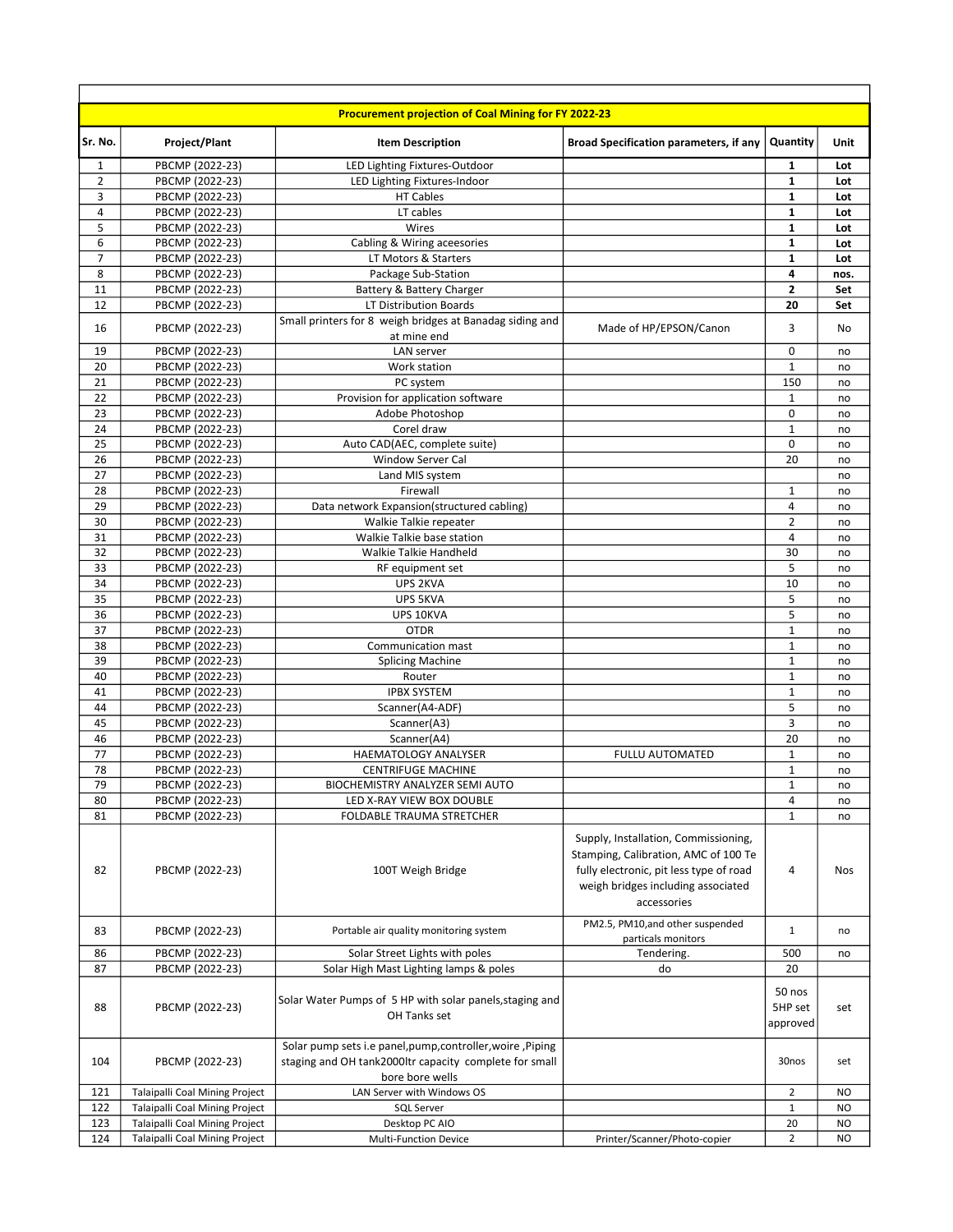|                |                                    | <b>Procurement projection of Coal Mining for FY 2022-23</b>                                                                             |                                                                                                                                                                              |                               |            |
|----------------|------------------------------------|-----------------------------------------------------------------------------------------------------------------------------------------|------------------------------------------------------------------------------------------------------------------------------------------------------------------------------|-------------------------------|------------|
| Sr. No.        | Project/Plant                      | <b>Item Description</b>                                                                                                                 | <b>Broad Specification parameters, if any</b>                                                                                                                                | Quantity                      | Unit       |
| 1              | PBCMP (2022-23)                    | LED Lighting Fixtures-Outdoor                                                                                                           |                                                                                                                                                                              | $\mathbf{1}$                  | Lot        |
| $\overline{2}$ | PBCMP (2022-23)                    | LED Lighting Fixtures-Indoor                                                                                                            |                                                                                                                                                                              | 1                             | Lot        |
| 3              | PBCMP (2022-23)                    | <b>HT Cables</b>                                                                                                                        |                                                                                                                                                                              | 1                             | Lot        |
| 4<br>5         | PBCMP (2022-23)<br>PBCMP (2022-23) | LT cables<br>Wires                                                                                                                      |                                                                                                                                                                              | $\mathbf{1}$<br>1             | Lot<br>Lot |
| 6              | PBCMP (2022-23)                    | Cabling & Wiring aceesories                                                                                                             |                                                                                                                                                                              | $\mathbf{1}$                  | Lot        |
| $\overline{7}$ | PBCMP (2022-23)                    | LT Motors & Starters                                                                                                                    |                                                                                                                                                                              | 1                             | Lot        |
| 8              | PBCMP (2022-23)                    | Package Sub-Station                                                                                                                     |                                                                                                                                                                              | 4                             | nos.       |
| 11             | PBCMP (2022-23)                    | Battery & Battery Charger                                                                                                               |                                                                                                                                                                              | 2                             | Set        |
| 12             | PBCMP (2022-23)                    | LT Distribution Boards                                                                                                                  |                                                                                                                                                                              | 20                            | Set        |
| 16             | PBCMP (2022-23)                    | Small printers for 8 weigh bridges at Banadag siding and<br>at mine end                                                                 | Made of HP/EPSON/Canon                                                                                                                                                       | 3                             | No         |
| 19             | PBCMP (2022-23)                    | LAN server                                                                                                                              |                                                                                                                                                                              | 0                             | no         |
| 20             | PBCMP (2022-23)                    | Work station                                                                                                                            |                                                                                                                                                                              | $\mathbf{1}$                  | no         |
| 21             | PBCMP (2022-23)                    | PC system                                                                                                                               |                                                                                                                                                                              | 150                           | no         |
| 22             | PBCMP (2022-23)                    | Provision for application software                                                                                                      |                                                                                                                                                                              | $\mathbf{1}$                  | no         |
| 23             | PBCMP (2022-23)                    | Adobe Photoshop                                                                                                                         |                                                                                                                                                                              | 0                             | no         |
| 24             | PBCMP (2022-23)                    | Corel draw                                                                                                                              |                                                                                                                                                                              | $\mathbf{1}$                  | no         |
| 25             | PBCMP (2022-23)                    | Auto CAD(AEC, complete suite)                                                                                                           |                                                                                                                                                                              | 0                             | no         |
| 26             | PBCMP (2022-23)                    | Window Server Cal                                                                                                                       |                                                                                                                                                                              | 20                            | no         |
| 27<br>28       | PBCMP (2022-23)                    | Land MIS system<br>Firewall                                                                                                             |                                                                                                                                                                              |                               | no         |
| 29             | PBCMP (2022-23)<br>PBCMP (2022-23) | Data network Expansion(structured cabling)                                                                                              |                                                                                                                                                                              | 1<br>4                        | no         |
| 30             | PBCMP (2022-23)                    | Walkie Talkie repeater                                                                                                                  |                                                                                                                                                                              | $\overline{2}$                | no<br>no   |
| 31             | PBCMP (2022-23)                    | Walkie Talkie base station                                                                                                              |                                                                                                                                                                              | 4                             | no         |
| 32             | PBCMP (2022-23)                    | Walkie Talkie Handheld                                                                                                                  |                                                                                                                                                                              | 30                            | no         |
| 33             | PBCMP (2022-23)                    | RF equipment set                                                                                                                        |                                                                                                                                                                              | 5                             | no         |
| 34             | PBCMP (2022-23)                    | UPS 2KVA                                                                                                                                |                                                                                                                                                                              | 10                            | no         |
| 35             | PBCMP (2022-23)                    | UPS 5KVA                                                                                                                                |                                                                                                                                                                              | 5                             | no         |
| 36             | PBCMP (2022-23)                    | UPS 10KVA                                                                                                                               |                                                                                                                                                                              | 5                             | no         |
| 37             | PBCMP (2022-23)                    | <b>OTDR</b>                                                                                                                             |                                                                                                                                                                              | $\mathbf{1}$                  | no         |
| 38             | PBCMP (2022-23)                    | Communication mast                                                                                                                      |                                                                                                                                                                              | $\mathbf{1}$                  | no         |
| 39             | PBCMP (2022-23)                    | <b>Splicing Machine</b>                                                                                                                 |                                                                                                                                                                              | 1                             | no         |
| 40             | PBCMP (2022-23)                    | Router                                                                                                                                  |                                                                                                                                                                              | $\mathbf{1}$                  | no         |
| 41<br>44       | PBCMP (2022-23)<br>PBCMP (2022-23) | <b>IPBX SYSTEM</b><br>Scanner(A4-ADF)                                                                                                   |                                                                                                                                                                              | $\mathbf{1}$<br>5             | no<br>no   |
| 45             | PBCMP (2022-23)                    | Scanner(A3)                                                                                                                             |                                                                                                                                                                              | 3                             | no         |
| 46             | PBCMP (2022-23)                    | Scanner(A4)                                                                                                                             |                                                                                                                                                                              | 20                            | no         |
| 77             | PBCMP (2022-23)                    | HAEMATOLOGY ANALYSER                                                                                                                    | <b>FULLU AUTOMATED</b>                                                                                                                                                       | $\mathbf 1$                   | no         |
| 78             | PBCMP (2022-23)                    | <b>CENTRIFUGE MACHINE</b>                                                                                                               |                                                                                                                                                                              | $\mathbf{1}$                  | no         |
| 79             | PBCMP (2022-23)                    | BIOCHEMISTRY ANALYZER SEMI AUTO                                                                                                         |                                                                                                                                                                              | 1                             | no         |
| 80             | PBCMP (2022-23)                    | LED X-RAY VIEW BOX DOUBLE                                                                                                               |                                                                                                                                                                              | 4                             | no         |
| 81             | PBCMP (2022-23)                    | FOLDABLE TRAUMA STRETCHER                                                                                                               |                                                                                                                                                                              | 1                             | no         |
| 82             | PBCMP (2022-23)                    | 100T Weigh Bridge                                                                                                                       | Supply, Installation, Commissioning,<br>Stamping, Calibration, AMC of 100 Te<br>fully electronic, pit less type of road<br>weigh bridges including associated<br>accessories | 4                             | Nos        |
| 83             | PBCMP (2022-23)                    | Portable air quality monitoring system                                                                                                  | PM2.5, PM10, and other suspended<br>particals monitors                                                                                                                       | $\mathbf{1}$                  | no         |
| 86             | PBCMP (2022-23)                    | Solar Street Lights with poles                                                                                                          | Tendering.                                                                                                                                                                   | 500                           | no         |
| 87             | PBCMP (2022-23)                    | Solar High Mast Lighting lamps & poles                                                                                                  | do                                                                                                                                                                           | 20                            |            |
| 88             | PBCMP (2022-23)                    | Solar Water Pumps of 5 HP with solar panels, staging and<br>OH Tanks set                                                                |                                                                                                                                                                              | 50 nos<br>5HP set<br>approved | set        |
| 104            | PBCMP (2022-23)                    | Solar pump sets i.e panel, pump, controller, woire, Piping<br>staging and OH tank2000ltr capacity complete for small<br>bore bore wells |                                                                                                                                                                              | 30nos                         | set        |
| 121            | Talaipalli Coal Mining Project     | LAN Server with Windows OS                                                                                                              |                                                                                                                                                                              | $\overline{2}$                | NO         |
| 122            | Talaipalli Coal Mining Project     | <b>SQL Server</b>                                                                                                                       |                                                                                                                                                                              | $\mathbf{1}$                  | NO         |
| 123            | Talaipalli Coal Mining Project     | Desktop PC AIO                                                                                                                          |                                                                                                                                                                              | 20                            | NO         |
| 124            | Talaipalli Coal Mining Project     | <b>Multi-Function Device</b>                                                                                                            | Printer/Scanner/Photo-copier                                                                                                                                                 | $\overline{2}$                | NO.        |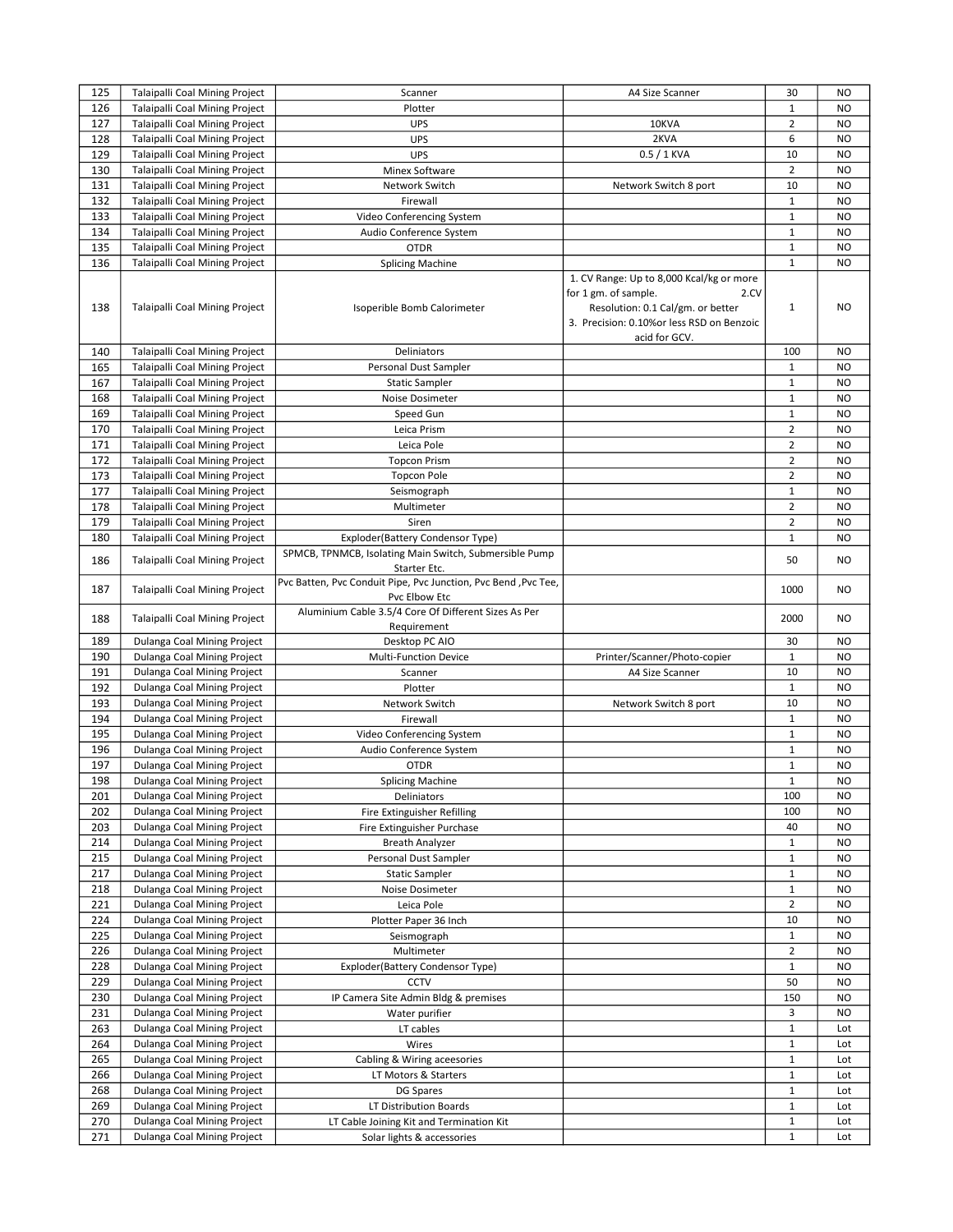| 125 | Talaipalli Coal Mining Project        | Scanner                                                                         | A4 Size Scanner                                                                                 | 30             | <b>NO</b>        |
|-----|---------------------------------------|---------------------------------------------------------------------------------|-------------------------------------------------------------------------------------------------|----------------|------------------|
| 126 | Talaipalli Coal Mining Project        | Plotter                                                                         |                                                                                                 | $\mathbf{1}$   | NO.              |
| 127 | <b>Talaipalli Coal Mining Project</b> | UPS                                                                             | 10KVA                                                                                           | $\overline{2}$ | <b>NO</b>        |
| 128 | Talaipalli Coal Mining Project        | <b>UPS</b>                                                                      | 2KVA                                                                                            | 6              | <b>NO</b>        |
| 129 | Talaipalli Coal Mining Project        | <b>UPS</b>                                                                      | $0.5/1$ KVA                                                                                     | 10             | <b>NO</b>        |
| 130 | <b>Talaipalli Coal Mining Project</b> | Minex Software                                                                  |                                                                                                 | $\overline{2}$ | <b>NO</b>        |
| 131 | Talaipalli Coal Mining Project        | Network Switch                                                                  | Network Switch 8 port                                                                           | 10             | NO.              |
| 132 | Talaipalli Coal Mining Project        | Firewall                                                                        |                                                                                                 | $\mathbf{1}$   | <b>NO</b>        |
| 133 | <b>Talaipalli Coal Mining Project</b> | Video Conferencing System                                                       |                                                                                                 | $\mathbf 1$    | <b>NO</b>        |
| 134 | Talaipalli Coal Mining Project        | Audio Conference System                                                         |                                                                                                 | $\mathbf{1}$   | NO.              |
| 135 | Talaipalli Coal Mining Project        | <b>OTDR</b>                                                                     |                                                                                                 | $\mathbf{1}$   | <b>NO</b>        |
| 136 | Talaipalli Coal Mining Project        | <b>Splicing Machine</b>                                                         |                                                                                                 | $\mathbf{1}$   | <b>NO</b>        |
|     |                                       |                                                                                 | 1. CV Range: Up to 8,000 Kcal/kg or more<br>for 1 gm. of sample.<br>2.CV                        |                |                  |
| 138 | <b>Talaipalli Coal Mining Project</b> | Isoperible Bomb Calorimeter                                                     | Resolution: 0.1 Cal/gm. or better<br>3. Precision: 0.10%or less RSD on Benzoic<br>acid for GCV. | $\mathbf{1}$   | NO.              |
| 140 | Talaipalli Coal Mining Project        | Deliniators                                                                     |                                                                                                 | 100            | <b>NO</b>        |
| 165 | Talaipalli Coal Mining Project        | Personal Dust Sampler                                                           |                                                                                                 | $\mathbf{1}$   | NO               |
| 167 | Talaipalli Coal Mining Project        | <b>Static Sampler</b>                                                           |                                                                                                 | $\mathbf{1}$   | NO               |
| 168 | Talaipalli Coal Mining Project        | Noise Dosimeter                                                                 |                                                                                                 | $\mathbf{1}$   | <b>NO</b>        |
| 169 | Talaipalli Coal Mining Project        | Speed Gun                                                                       |                                                                                                 | $\mathbf 1$    | <b>NO</b>        |
| 170 | Talaipalli Coal Mining Project        | Leica Prism                                                                     |                                                                                                 | $\overline{2}$ | <b>NO</b>        |
| 171 | Talaipalli Coal Mining Project        | Leica Pole                                                                      |                                                                                                 | $\overline{2}$ | NO               |
| 172 | Talaipalli Coal Mining Project        | <b>Topcon Prism</b>                                                             |                                                                                                 | $\overline{2}$ | NO               |
| 173 | <b>Talaipalli Coal Mining Project</b> | <b>Topcon Pole</b>                                                              |                                                                                                 | $\overline{2}$ | <b>NO</b>        |
| 177 | Talaipalli Coal Mining Project        | Seismograph                                                                     |                                                                                                 | $\mathbf{1}$   | NO               |
| 178 | Talaipalli Coal Mining Project        | Multimeter                                                                      |                                                                                                 | $\overline{2}$ | <b>NO</b>        |
| 179 |                                       | Siren                                                                           |                                                                                                 | $\overline{2}$ |                  |
|     | Talaipalli Coal Mining Project        |                                                                                 |                                                                                                 | $\mathbf{1}$   | NO.<br><b>NO</b> |
| 180 | Talaipalli Coal Mining Project        | Exploder(Battery Condensor Type)                                                |                                                                                                 |                |                  |
| 186 | Talaipalli Coal Mining Project        | SPMCB, TPNMCB, Isolating Main Switch, Submersible Pump<br>Starter Etc.          |                                                                                                 | 50             | NO.              |
| 187 | Talaipalli Coal Mining Project        | Pvc Batten, Pvc Conduit Pipe, Pvc Junction, Pvc Bend, Pvc Tee,<br>Pvc Elbow Etc |                                                                                                 | 1000           | NO.              |
| 188 | Talaipalli Coal Mining Project        | Aluminium Cable 3.5/4 Core Of Different Sizes As Per<br>Requirement             |                                                                                                 | 2000           | NO.              |
| 189 | Dulanga Coal Mining Project           | Desktop PC AIO                                                                  |                                                                                                 | 30             | NO.              |
| 190 | Dulanga Coal Mining Project           | <b>Multi-Function Device</b>                                                    | Printer/Scanner/Photo-copier                                                                    | $\mathbf 1$    | NO               |
| 191 | Dulanga Coal Mining Project           | Scanner                                                                         | A4 Size Scanner                                                                                 | 10             | NO.              |
| 192 | Dulanga Coal Mining Project           | Plotter                                                                         |                                                                                                 | $\mathbf{1}$   | <b>NO</b>        |
| 193 | Dulanga Coal Mining Project           | Network Switch                                                                  | Network Switch 8 port                                                                           | 10             | NO               |
| 194 | Dulanga Coal Mining Project           | Firewall                                                                        |                                                                                                 | $\mathbf{1}$   | <b>NO</b>        |
| 195 | Dulanga Coal Mining Project           | Video Conferencing System                                                       |                                                                                                 | $\mathbf{1}$   | <b>NO</b>        |
| 196 | Dulanga Coal Mining Project           | Audio Conference System                                                         |                                                                                                 | $\mathbf 1$    | NO               |
| 197 | Dulanga Coal Mining Project           | <b>OTDR</b>                                                                     |                                                                                                 | $\mathbf{1}$   | NO.              |
| 198 | Dulanga Coal Mining Project           | <b>Splicing Machine</b>                                                         |                                                                                                 | $1\,$          | <b>NO</b>        |
| 201 | Dulanga Coal Mining Project           | Deliniators                                                                     |                                                                                                 | 100            | NO.              |
| 202 | Dulanga Coal Mining Project           | Fire Extinguisher Refilling                                                     |                                                                                                 | 100            | NO.              |
| 203 | Dulanga Coal Mining Project           | Fire Extinguisher Purchase                                                      |                                                                                                 | 40             | NO               |
| 214 | Dulanga Coal Mining Project           | <b>Breath Analyzer</b>                                                          |                                                                                                 | $\mathbf{1}$   | NO               |
| 215 | Dulanga Coal Mining Project           | Personal Dust Sampler                                                           |                                                                                                 | $\mathbf{1}$   | NO               |
| 217 | Dulanga Coal Mining Project           | <b>Static Sampler</b>                                                           |                                                                                                 | $\mathbf{1}$   | NO               |
| 218 | Dulanga Coal Mining Project           | Noise Dosimeter                                                                 |                                                                                                 | $\mathbf{1}$   | NO.              |
| 221 | Dulanga Coal Mining Project           | Leica Pole                                                                      |                                                                                                 | $\overline{2}$ | NO               |
| 224 | Dulanga Coal Mining Project           | Plotter Paper 36 Inch                                                           |                                                                                                 | 10             | NO               |
| 225 | Dulanga Coal Mining Project           | Seismograph                                                                     |                                                                                                 | $\mathbf{1}$   | NO               |
| 226 | Dulanga Coal Mining Project           | Multimeter                                                                      |                                                                                                 | $\overline{2}$ | NO               |
| 228 | Dulanga Coal Mining Project           | Exploder(Battery Condensor Type)                                                |                                                                                                 | $\mathbf{1}$   | NO               |
| 229 | Dulanga Coal Mining Project           | CCTV                                                                            |                                                                                                 | 50             | NO               |
| 230 | Dulanga Coal Mining Project           | IP Camera Site Admin Bldg & premises                                            |                                                                                                 | 150            | NO               |
| 231 | Dulanga Coal Mining Project           | Water purifier                                                                  |                                                                                                 | 3              | NO               |
| 263 | Dulanga Coal Mining Project           | LT cables                                                                       |                                                                                                 | $\mathbf{1}$   | Lot              |
|     |                                       |                                                                                 |                                                                                                 | $\mathbf{1}$   |                  |
| 264 | Dulanga Coal Mining Project           | Wires                                                                           |                                                                                                 |                | Lot              |
| 265 | Dulanga Coal Mining Project           | Cabling & Wiring aceesories                                                     |                                                                                                 | $\mathbf{1}$   | Lot              |
| 266 | Dulanga Coal Mining Project           | LT Motors & Starters                                                            |                                                                                                 | $\mathbf{1}$   | Lot              |
| 268 | Dulanga Coal Mining Project           | DG Spares                                                                       |                                                                                                 | $\mathbf{1}$   | Lot              |
| 269 | Dulanga Coal Mining Project           | LT Distribution Boards                                                          |                                                                                                 | $\mathbf{1}$   | Lot              |
| 270 | Dulanga Coal Mining Project           | LT Cable Joining Kit and Termination Kit                                        |                                                                                                 | $\mathbf{1}$   | Lot              |
| 271 | Dulanga Coal Mining Project           | Solar lights & accessories                                                      |                                                                                                 | $\mathbf{1}$   | Lot              |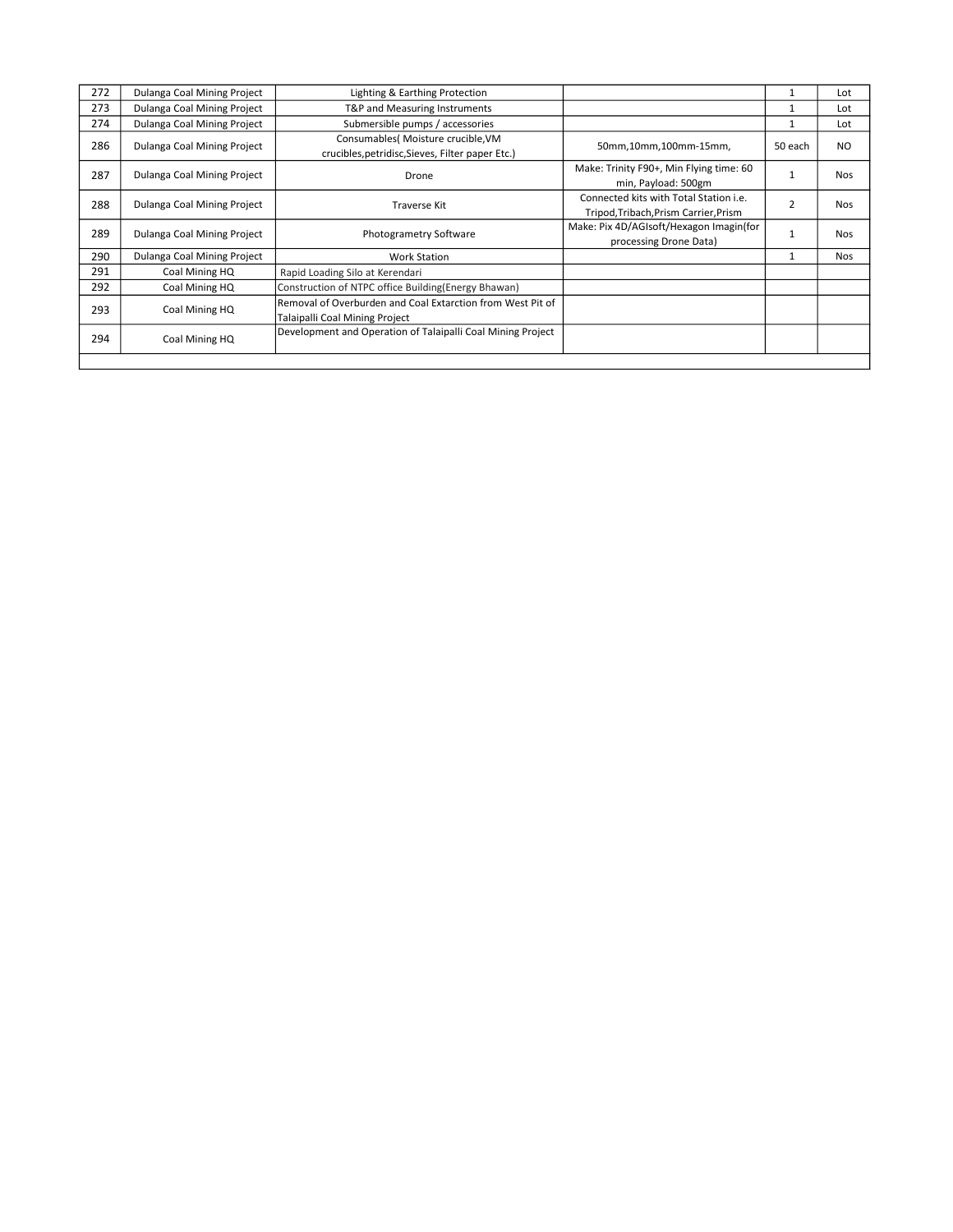| 272 | Dulanga Coal Mining Project | Lighting & Earthing Protection                                                               |                                                                                 |                | Lot        |
|-----|-----------------------------|----------------------------------------------------------------------------------------------|---------------------------------------------------------------------------------|----------------|------------|
| 273 | Dulanga Coal Mining Project | T&P and Measuring Instruments                                                                |                                                                                 |                | Lot        |
| 274 | Dulanga Coal Mining Project | Submersible pumps / accessories                                                              |                                                                                 |                | Lot        |
| 286 | Dulanga Coal Mining Project | Consumables( Moisture crucible, VM<br>crucibles, petridisc, Sieves, Filter paper Etc.)       | 50mm,10mm,100mm-15mm,                                                           | 50 each        | NO.        |
| 287 | Dulanga Coal Mining Project | Drone                                                                                        | Make: Trinity F90+, Min Flying time: 60<br>min, Payload: 500gm                  |                | Nos.       |
| 288 | Dulanga Coal Mining Project | <b>Traverse Kit</b>                                                                          | Connected kits with Total Station i.e.<br>Tripod, Tribach, Prism Carrier, Prism | $\overline{2}$ | <b>Nos</b> |
| 289 | Dulanga Coal Mining Project | Photogrametry Software                                                                       | Make: Pix 4D/AGIsoft/Hexagon Imagin(for<br>processing Drone Data)               |                | <b>Nos</b> |
| 290 | Dulanga Coal Mining Project | <b>Work Station</b>                                                                          |                                                                                 |                | <b>Nos</b> |
| 291 | Coal Mining HQ              | Rapid Loading Silo at Kerendari                                                              |                                                                                 |                |            |
| 292 | Coal Mining HQ              | Construction of NTPC office Building (Energy Bhawan)                                         |                                                                                 |                |            |
| 293 | Coal Mining HQ              | Removal of Overburden and Coal Extarction from West Pit of<br>Talaipalli Coal Mining Project |                                                                                 |                |            |
| 294 | Coal Mining HQ              | Development and Operation of Talaipalli Coal Mining Project                                  |                                                                                 |                |            |
|     |                             |                                                                                              |                                                                                 |                |            |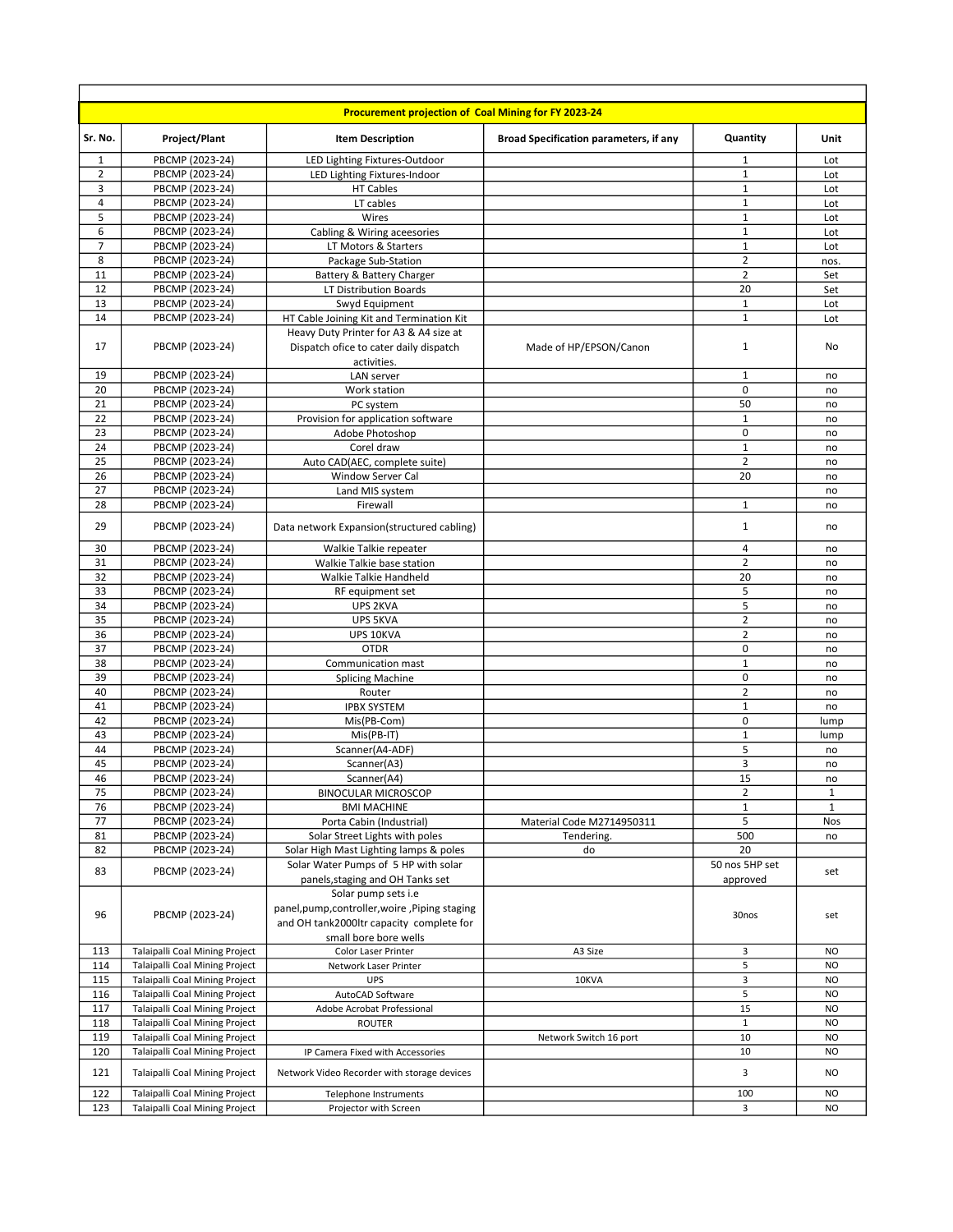|                |                                       | Procurement projection of Coal Mining for FY 2023-24                                                                                       |                                               |                                  |              |
|----------------|---------------------------------------|--------------------------------------------------------------------------------------------------------------------------------------------|-----------------------------------------------|----------------------------------|--------------|
| Sr. No.        | <b>Project/Plant</b>                  | <b>Item Description</b>                                                                                                                    | <b>Broad Specification parameters, if any</b> | Quantity                         | Unit         |
| 1              | PBCMP (2023-24)                       | LED Lighting Fixtures-Outdoor                                                                                                              |                                               | $\mathbf{1}$                     | Lot          |
| $\overline{2}$ | PBCMP (2023-24)                       | LED Lighting Fixtures-Indoor                                                                                                               |                                               | $\mathbf{1}$                     | Lot          |
| 3              | PBCMP (2023-24)                       | HT Cables                                                                                                                                  |                                               | 1                                | Lot          |
| 4              | PBCMP (2023-24)                       | LT cables                                                                                                                                  |                                               | $\mathbf{1}$                     | Lot          |
| 5              | PBCMP (2023-24)                       | Wires                                                                                                                                      |                                               | $\mathbf{1}$                     | Lot          |
| 6              | PBCMP (2023-24)                       | Cabling & Wiring aceesories                                                                                                                |                                               | $\mathbf{1}$                     | Lot          |
| 7              | PBCMP (2023-24)                       | LT Motors & Starters                                                                                                                       |                                               | $\mathbf{1}$                     | Lot          |
| 8<br>11        | PBCMP (2023-24)                       | Package Sub-Station                                                                                                                        |                                               | $\overline{2}$<br>$\overline{2}$ | nos.         |
| 12             | PBCMP (2023-24)                       | Battery & Battery Charger                                                                                                                  |                                               | 20                               | Set          |
| 13             | PBCMP (2023-24)<br>PBCMP (2023-24)    | LT Distribution Boards<br>Swyd Equipment                                                                                                   |                                               | $\mathbf{1}$                     | Set<br>Lot   |
| 14             | PBCMP (2023-24)                       | HT Cable Joining Kit and Termination Kit                                                                                                   |                                               | $\mathbf{1}$                     | Lot          |
|                |                                       | Heavy Duty Printer for A3 & A4 size at                                                                                                     |                                               |                                  |              |
| 17             | PBCMP (2023-24)                       | Dispatch ofice to cater daily dispatch                                                                                                     | Made of HP/EPSON/Canon                        | $\mathbf{1}$                     | No           |
|                |                                       | activities.                                                                                                                                |                                               |                                  |              |
| 19             | PBCMP (2023-24)                       | LAN server                                                                                                                                 |                                               | 1                                | no           |
| 20             | PBCMP (2023-24)                       | Work station                                                                                                                               |                                               | $\mathbf 0$                      | no           |
| 21             | PBCMP (2023-24)                       | PC system                                                                                                                                  |                                               | 50                               | no           |
| 22             | PBCMP (2023-24)                       | Provision for application software                                                                                                         |                                               | $\mathbf{1}$                     | no           |
| 23             | PBCMP (2023-24)                       | Adobe Photoshop                                                                                                                            |                                               | $\mathbf 0$                      | no           |
| 24             | PBCMP (2023-24)                       | Corel draw                                                                                                                                 |                                               | $\mathbf 1$                      | no           |
| 25             | PBCMP (2023-24)                       | Auto CAD(AEC, complete suite)                                                                                                              |                                               | $\overline{2}$                   | no           |
| 26             | PBCMP (2023-24)                       | <b>Window Server Cal</b>                                                                                                                   |                                               | 20                               | no           |
| 27             | PBCMP (2023-24)                       | Land MIS system                                                                                                                            |                                               |                                  | no           |
| 28             | PBCMP (2023-24)                       | Firewall                                                                                                                                   |                                               | $\mathbf{1}$                     | no           |
| 29             | PBCMP (2023-24)                       | Data network Expansion(structured cabling)                                                                                                 |                                               | $\mathbf{1}$                     | no           |
| 30             | PBCMP (2023-24)                       | Walkie Talkie repeater                                                                                                                     |                                               | 4                                | no           |
| 31             | PBCMP (2023-24)                       | Walkie Talkie base station                                                                                                                 |                                               | $\overline{2}$                   | no           |
| 32             | PBCMP (2023-24)                       | Walkie Talkie Handheld                                                                                                                     |                                               | 20                               | no           |
| 33             | PBCMP (2023-24)                       | RF equipment set                                                                                                                           |                                               | 5                                | no           |
| 34             | PBCMP (2023-24)                       | UPS 2KVA                                                                                                                                   |                                               | 5                                | no           |
| 35             | PBCMP (2023-24)                       | UPS 5KVA                                                                                                                                   |                                               | $\overline{2}$                   | no           |
| 36             | PBCMP (2023-24)                       | UPS 10KVA                                                                                                                                  |                                               | $\overline{2}$                   | no           |
| 37             | PBCMP (2023-24)                       | <b>OTDR</b>                                                                                                                                |                                               | 0                                | no           |
| 38             | PBCMP (2023-24)                       | Communication mast                                                                                                                         |                                               | $\mathbf{1}$                     | no           |
| 39<br>40       | PBCMP (2023-24)<br>PBCMP (2023-24)    | <b>Splicing Machine</b>                                                                                                                    |                                               | $\mathsf 0$<br>$\overline{2}$    | no           |
| 41             | PBCMP (2023-24)                       | Router<br><b>IPBX SYSTEM</b>                                                                                                               |                                               | $\mathbf{1}$                     | no<br>no     |
| 42             | PBCMP (2023-24)                       | Mis(PB-Com)                                                                                                                                |                                               | $\mathbf 0$                      | lump         |
| 43             | PBCMP (2023-24)                       | Mis(PB-IT)                                                                                                                                 |                                               | $\mathbf{1}$                     | lump         |
| 44             | PBCMP (2023-24)                       | Scanner(A4-ADF)                                                                                                                            |                                               | 5                                | no           |
| 45             | PBCMP (2023-24)                       | Scanner(A3)                                                                                                                                |                                               | 3                                | no           |
| 46             | PBCMP (2023-24)                       | Scanner(A4)                                                                                                                                |                                               | 15                               | no           |
| 75             | PBCMP (2023-24)                       | <b>BINOCULAR MICROSCOP</b>                                                                                                                 |                                               | $\overline{2}$                   | $\mathbf{1}$ |
| 76             | PBCMP (2023-24)                       | <b>BMI MACHINE</b>                                                                                                                         |                                               | $1\,$                            | $\mathbf{1}$ |
| 77             | PBCMP (2023-24)                       | Porta Cabin (Industrial)                                                                                                                   | Material Code M2714950311                     | 5                                | Nos          |
| 81             | PBCMP (2023-24)                       | Solar Street Lights with poles                                                                                                             | Tendering.                                    | 500                              | no           |
| 82             | PBCMP (2023-24)                       | Solar High Mast Lighting lamps & poles                                                                                                     | do                                            | 20                               |              |
| 83             | PBCMP (2023-24)                       | Solar Water Pumps of 5 HP with solar<br>panels, staging and OH Tanks set                                                                   |                                               | 50 nos 5HP set<br>approved       | set          |
| 96             | PBCMP (2023-24)                       | Solar pump sets i.e<br>panel, pump, controller, woire, Piping staging<br>and OH tank2000ltr capacity complete for<br>small bore bore wells |                                               | 30nos                            | set          |
| 113            | <b>Talaipalli Coal Mining Project</b> | Color Laser Printer                                                                                                                        | A3 Size                                       | 3                                | <b>NO</b>    |
| 114            | Talaipalli Coal Mining Project        | Network Laser Printer                                                                                                                      |                                               | 5                                | <b>NO</b>    |
| 115            | Talaipalli Coal Mining Project        | <b>UPS</b>                                                                                                                                 | 10KVA                                         | 3                                | <b>NO</b>    |
| 116            | Talaipalli Coal Mining Project        | AutoCAD Software                                                                                                                           |                                               | 5                                | <b>NO</b>    |
| 117            | Talaipalli Coal Mining Project        | Adobe Acrobat Professional                                                                                                                 |                                               | 15                               | <b>NO</b>    |
| 118            | Talaipalli Coal Mining Project        | ROUTER                                                                                                                                     |                                               | $\mathbf{1}$                     | <b>NO</b>    |
| 119            | Talaipalli Coal Mining Project        |                                                                                                                                            | Network Switch 16 port                        | 10                               | <b>NO</b>    |
| 120            | Talaipalli Coal Mining Project        | IP Camera Fixed with Accessories                                                                                                           |                                               | 10                               | <b>NO</b>    |
| 121            | Talaipalli Coal Mining Project        | Network Video Recorder with storage devices                                                                                                |                                               | 3                                | <b>NO</b>    |
| 122            | Talaipalli Coal Mining Project        | Telephone Instruments                                                                                                                      |                                               | 100                              | <b>NO</b>    |
| 123            | Talaipalli Coal Mining Project        | Projector with Screen                                                                                                                      |                                               | 3                                | <b>NO</b>    |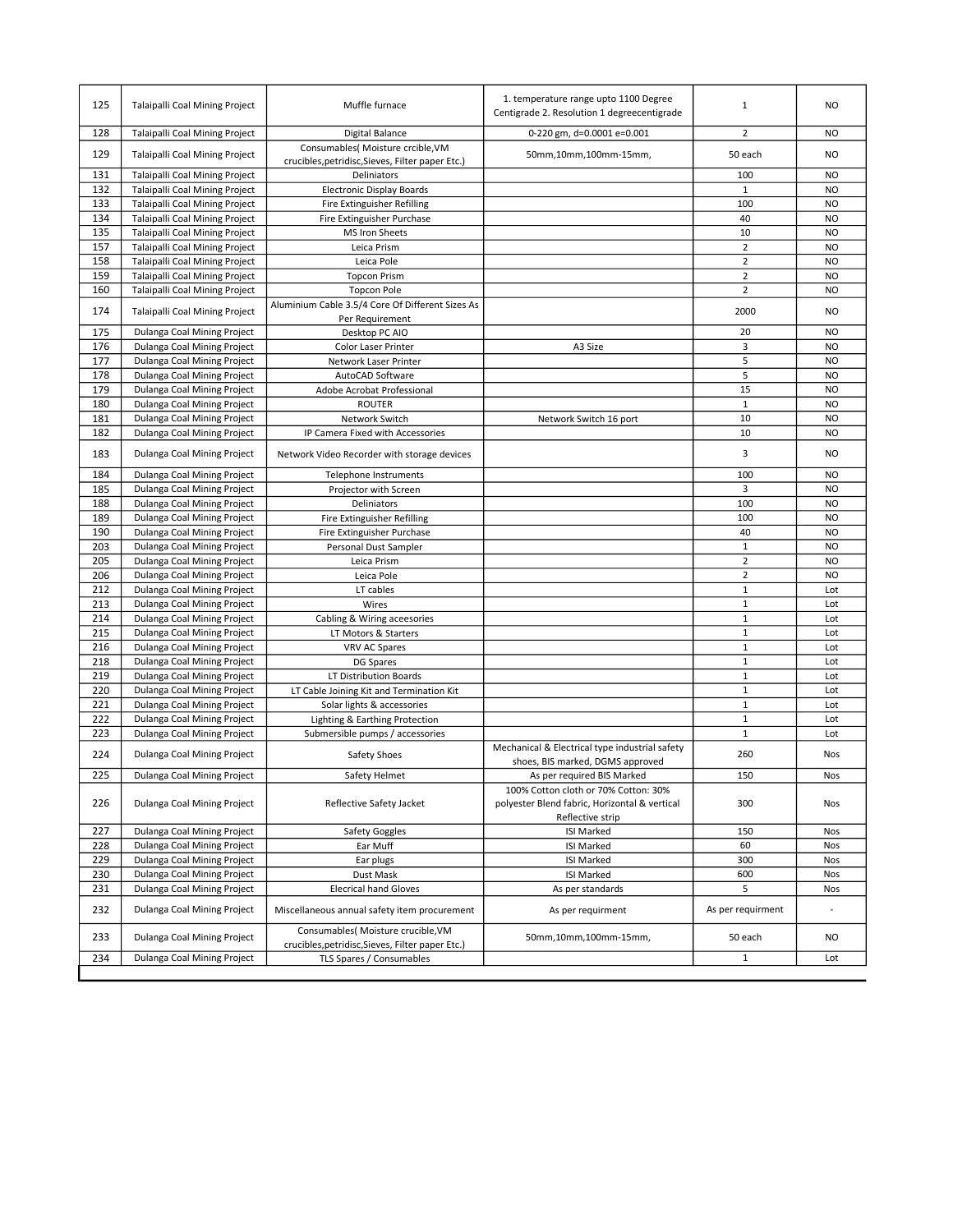| 125 | Talaipalli Coal Mining Project        | Muffle furnace                                                                         | 1. temperature range upto 1100 Degree<br>Centigrade 2. Resolution 1 degreecentigrade  | $\mathbf{1}$      | <b>NO</b>      |
|-----|---------------------------------------|----------------------------------------------------------------------------------------|---------------------------------------------------------------------------------------|-------------------|----------------|
| 128 | Talaipalli Coal Mining Project        | Digital Balance                                                                        | 0-220 gm, d=0.0001 e=0.001                                                            | $\overline{2}$    | NO             |
| 129 | Talaipalli Coal Mining Project        | Consumables( Moisture crcible, VM<br>crucibles, petridisc, Sieves, Filter paper Etc.)  | 50mm,10mm,100mm-15mm,                                                                 | 50 each           | NO.            |
| 131 | <b>Talaipalli Coal Mining Project</b> | Deliniators                                                                            |                                                                                       | 100               | <b>NO</b>      |
| 132 | Talaipalli Coal Mining Project        | <b>Electronic Display Boards</b>                                                       |                                                                                       | $\mathbf{1}$      | <b>NO</b>      |
| 133 | Talaipalli Coal Mining Project        | Fire Extinguisher Refilling                                                            |                                                                                       | 100               | N <sub>O</sub> |
| 134 | Talaipalli Coal Mining Project        | Fire Extinguisher Purchase                                                             |                                                                                       | 40                | <b>NO</b>      |
| 135 | Talaipalli Coal Mining Project        | MS Iron Sheets                                                                         |                                                                                       | 10                | <b>NO</b>      |
| 157 | Talaipalli Coal Mining Project        | Leica Prism                                                                            |                                                                                       | $\overline{2}$    | N <sub>O</sub> |
| 158 | Talaipalli Coal Mining Project        | Leica Pole                                                                             |                                                                                       | $\overline{2}$    | N <sub>O</sub> |
| 159 | Talaipalli Coal Mining Project        | <b>Topcon Prism</b>                                                                    |                                                                                       | $\overline{2}$    | N <sub>O</sub> |
| 160 | Talaipalli Coal Mining Project        | <b>Topcon Pole</b>                                                                     |                                                                                       | $\overline{2}$    | <b>NO</b>      |
| 174 | <b>Talaipalli Coal Mining Project</b> | Aluminium Cable 3.5/4 Core Of Different Sizes As                                       |                                                                                       | 2000              | <b>NO</b>      |
|     |                                       | Per Requirement                                                                        |                                                                                       |                   |                |
| 175 | Dulanga Coal Mining Project           | Desktop PC AIO                                                                         |                                                                                       | 20                | <b>NO</b>      |
| 176 | Dulanga Coal Mining Project           | <b>Color Laser Printer</b>                                                             | A3 Size                                                                               | 3                 | N <sub>O</sub> |
| 177 | Dulanga Coal Mining Project           | Network Laser Printer                                                                  |                                                                                       | 5                 | <b>NO</b>      |
| 178 | Dulanga Coal Mining Project           | AutoCAD Software                                                                       |                                                                                       | 5                 | N <sub>O</sub> |
| 179 | Dulanga Coal Mining Project           | Adobe Acrobat Professional                                                             |                                                                                       | 15                | N <sub>O</sub> |
| 180 | Dulanga Coal Mining Project           | <b>ROUTER</b>                                                                          |                                                                                       | $\mathbf 1$       | N <sub>O</sub> |
| 181 | Dulanga Coal Mining Project           | Network Switch                                                                         | Network Switch 16 port                                                                | 10                | <b>NO</b>      |
| 182 | Dulanga Coal Mining Project           | IP Camera Fixed with Accessories                                                       |                                                                                       | 10                | <b>NO</b>      |
| 183 | Dulanga Coal Mining Project           | Network Video Recorder with storage devices                                            |                                                                                       | 3                 | <b>NO</b>      |
| 184 | Dulanga Coal Mining Project           | <b>Telephone Instruments</b>                                                           |                                                                                       | 100               | <b>NO</b>      |
| 185 | Dulanga Coal Mining Project           | Projector with Screen                                                                  |                                                                                       | 3                 | <b>NO</b>      |
| 188 | Dulanga Coal Mining Project           | Deliniators                                                                            |                                                                                       | 100               | N <sub>O</sub> |
| 189 | Dulanga Coal Mining Project           | Fire Extinguisher Refilling                                                            |                                                                                       | 100               | N <sub>O</sub> |
| 190 | Dulanga Coal Mining Project           | Fire Extinguisher Purchase                                                             |                                                                                       | 40                | N <sub>O</sub> |
| 203 | Dulanga Coal Mining Project           | Personal Dust Sampler                                                                  |                                                                                       | $\mathbf 1$       | N <sub>O</sub> |
| 205 | Dulanga Coal Mining Project           | Leica Prism                                                                            |                                                                                       | $\overline{2}$    | N <sub>O</sub> |
| 206 | Dulanga Coal Mining Project           | Leica Pole                                                                             |                                                                                       | $\overline{2}$    | <b>NO</b>      |
| 212 | Dulanga Coal Mining Project           | LT cables                                                                              |                                                                                       | $\mathbf{1}$      | Lot            |
| 213 | Dulanga Coal Mining Project           | Wires                                                                                  |                                                                                       | $\mathbf{1}$      | Lot            |
| 214 | Dulanga Coal Mining Project           | Cabling & Wiring aceesories                                                            |                                                                                       | $\mathbf 1$       | Lot            |
| 215 | Dulanga Coal Mining Project           | LT Motors & Starters                                                                   |                                                                                       | $\mathbf 1$       | Lot            |
| 216 | Dulanga Coal Mining Project           | VRV AC Spares                                                                          |                                                                                       | $\mathbf 1$       | Lot            |
| 218 | Dulanga Coal Mining Project           | DG Spares                                                                              |                                                                                       | $\mathbf{1}$      | Lot            |
| 219 | Dulanga Coal Mining Project           | LT Distribution Boards                                                                 |                                                                                       | $\mathbf{1}$      | Lot            |
| 220 | Dulanga Coal Mining Project           | LT Cable Joining Kit and Termination Kit                                               |                                                                                       | $\mathbf{1}$      | Lot            |
| 221 | Dulanga Coal Mining Project           | Solar lights & accessories                                                             |                                                                                       | $\mathbf 1$       | Lot            |
| 222 | Dulanga Coal Mining Project           | Lighting & Earthing Protection                                                         |                                                                                       | $\mathbf{1}$      | Lot            |
| 223 | Dulanga Coal Mining Project           | Submersible pumps / accessories                                                        |                                                                                       | $\mathbf 1$       | Lot            |
| 224 | Dulanga Coal Mining Project           | Safety Shoes                                                                           | Mechanical & Electrical type industrial safety<br>shoes, BIS marked, DGMS approved    | 260               | Nos            |
| 225 | Dulanga Coal Mining Project           | Safety Helmet                                                                          | As per required BIS Marked                                                            | 150               | Nos            |
| 226 | Dulanga Coal Mining Project           | Reflective Safety Jacket                                                               | 100% Cotton cloth or 70% Cotton: 30%<br>polyester Blend fabric, Horizontal & vertical | 300               | Nos            |
|     |                                       |                                                                                        | Reflective strip                                                                      |                   |                |
| 227 | Dulanga Coal Mining Project           | Safety Goggles                                                                         | <b>ISI Marked</b>                                                                     | 150               | Nos            |
| 228 | Dulanga Coal Mining Project           | Ear Muff                                                                               | ISI Marked                                                                            | 60                | Nos            |
| 229 | Dulanga Coal Mining Project           | Ear plugs                                                                              | ISI Marked                                                                            | 300               | Nos            |
| 230 | Dulanga Coal Mining Project           | Dust Mask                                                                              | ISI Marked                                                                            | 600               | Nos            |
| 231 | Dulanga Coal Mining Project           | <b>Elecrical hand Gloves</b>                                                           | As per standards                                                                      | 5                 | Nos            |
| 232 | Dulanga Coal Mining Project           | Miscellaneous annual safety item procurement                                           | As per requirment                                                                     | As per requirment |                |
| 233 | Dulanga Coal Mining Project           | Consumables( Moisture crucible, VM<br>crucibles, petridisc, Sieves, Filter paper Etc.) | 50mm,10mm,100mm-15mm,                                                                 | 50 each           | NO             |
| 234 | Dulanga Coal Mining Project           | TLS Spares / Consumables                                                               |                                                                                       | $\mathbf{1}$      | Lot            |
|     |                                       |                                                                                        |                                                                                       |                   |                |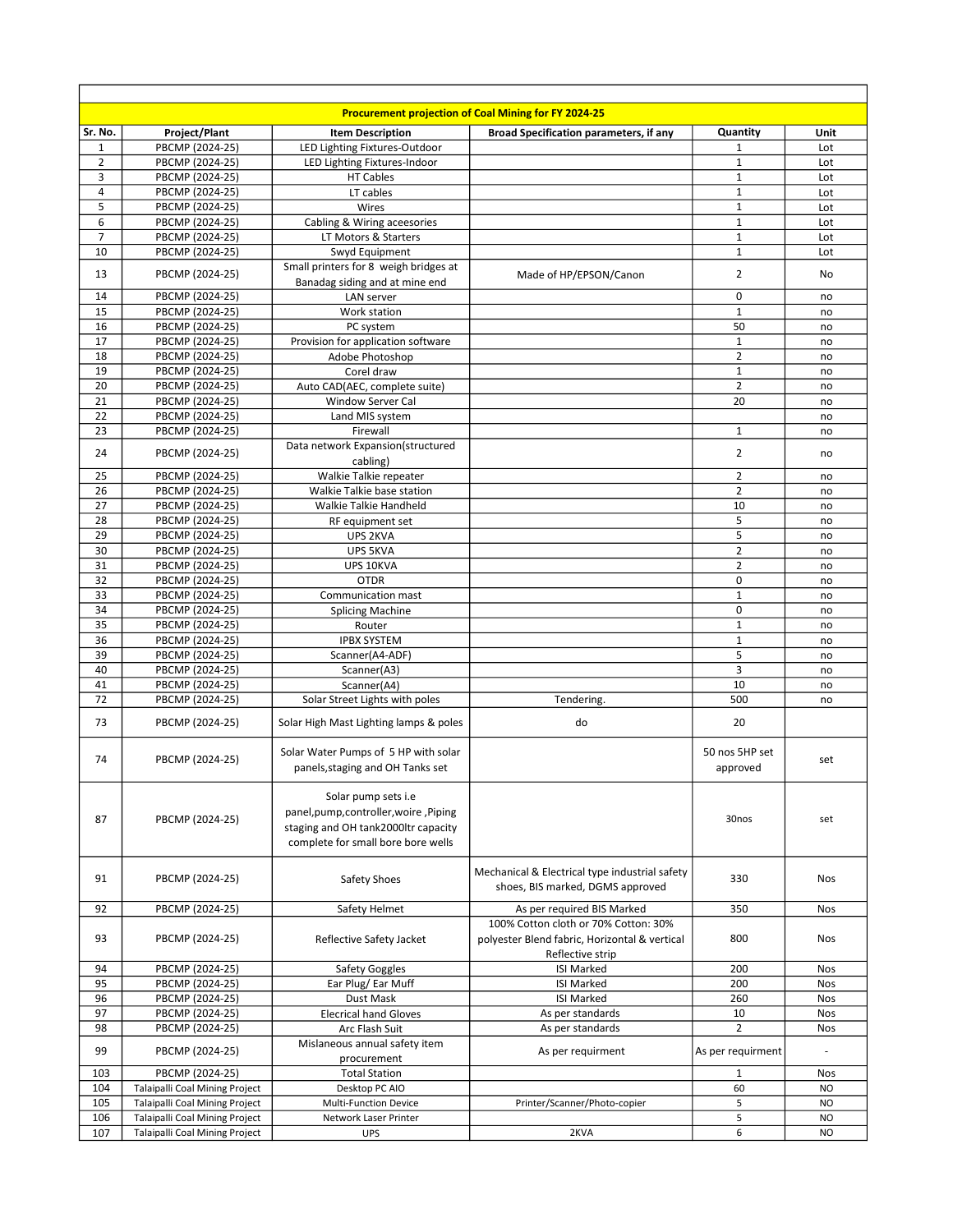|                |                                       |                                               | <b>Procurement projection of Coal Mining for FY 2024-25</b> |                     |            |
|----------------|---------------------------------------|-----------------------------------------------|-------------------------------------------------------------|---------------------|------------|
| Sr. No.        | <b>Project/Plant</b>                  | <b>Item Description</b>                       | <b>Broad Specification parameters, if any</b>               | Quantity            | Unit       |
| $\mathbf{1}$   | PBCMP (2024-25)                       | LED Lighting Fixtures-Outdoor                 |                                                             | $\mathbf{1}$        | Lot        |
| 2              | PBCMP (2024-25)                       | LED Lighting Fixtures-Indoor                  |                                                             | 1                   | Lot        |
| 3              | PBCMP (2024-25)                       | <b>HT Cables</b>                              |                                                             | $\mathbf{1}$        | Lot        |
| 4              | PBCMP (2024-25)                       | LT cables                                     |                                                             | $\mathbf 1$         | Lot        |
| 5              | PBCMP (2024-25)                       | Wires                                         |                                                             | $\mathbf 1$         | Lot        |
| 6              | PBCMP (2024-25)                       | Cabling & Wiring aceesories                   |                                                             | $\mathbf 1$         | Lot        |
| $\overline{7}$ | PBCMP (2024-25)                       | LT Motors & Starters                          |                                                             | $\mathbf 1$         | Lot        |
| 10             | PBCMP (2024-25)                       | Swyd Equipment                                |                                                             | $\mathbf{1}$        | Lot        |
| 13             | PBCMP (2024-25)                       | Small printers for 8 weigh bridges at         | Made of HP/EPSON/Canon                                      | 2                   | No         |
|                |                                       | Banadag siding and at mine end                |                                                             |                     |            |
| 14             | PBCMP (2024-25)                       | LAN server                                    |                                                             | $\mathbf 0$         | no         |
| 15             | PBCMP (2024-25)                       | Work station                                  |                                                             | $\mathbf{1}$        | no         |
| 16             | PBCMP (2024-25)                       | PC system                                     |                                                             | 50                  | no         |
| 17             | PBCMP (2024-25)                       | Provision for application software            |                                                             | $\mathbf 1$         | no         |
| 18             | PBCMP (2024-25)                       | Adobe Photoshop                               |                                                             | $\overline{2}$      | no         |
| 19             | PBCMP (2024-25)                       | Corel draw                                    |                                                             | $\mathbf 1$         | no         |
| 20             | PBCMP (2024-25)                       | Auto CAD(AEC, complete suite)                 |                                                             | $\overline{2}$      | no         |
| 21             | PBCMP (2024-25)                       | <b>Window Server Cal</b>                      |                                                             | 20                  | no         |
| 22             | PBCMP (2024-25)                       | Land MIS system                               |                                                             |                     | no         |
| 23             | PBCMP (2024-25)                       | Firewall                                      |                                                             | $\mathbf{1}$        | no         |
| 24             | PBCMP (2024-25)                       | Data network Expansion(structured             |                                                             | 2                   | no         |
| 25             | PBCMP (2024-25)                       | cabling)                                      |                                                             | $\overline{2}$      |            |
| 26             | PBCMP (2024-25)                       | Walkie Talkie repeater                        |                                                             | $\overline{2}$      | no         |
| 27             |                                       | Walkie Talkie base station                    |                                                             | 10                  | no         |
| 28             | PBCMP (2024-25)<br>PBCMP (2024-25)    | Walkie Talkie Handheld                        |                                                             | 5                   | no         |
|                |                                       | RF equipment set<br>UPS 2KVA                  |                                                             |                     | no         |
| 29<br>30       | PBCMP (2024-25)<br>PBCMP (2024-25)    |                                               |                                                             | 5<br>$\overline{2}$ | no         |
| 31             |                                       | UPS 5KVA                                      |                                                             | $\overline{2}$      | no         |
|                | PBCMP (2024-25)                       | UPS 10KVA<br><b>OTDR</b>                      |                                                             |                     | no         |
| 32<br>33       | PBCMP (2024-25)<br>PBCMP (2024-25)    |                                               |                                                             | 0<br>$\mathbf{1}$   | no         |
| 34             | PBCMP (2024-25)                       | Communication mast<br><b>Splicing Machine</b> |                                                             | 0                   | no         |
| 35             | PBCMP (2024-25)                       | Router                                        |                                                             | $\mathbf{1}$        | no<br>no   |
| 36             | PBCMP (2024-25)                       | <b>IPBX SYSTEM</b>                            |                                                             | $\mathbf 1$         | no         |
| 39             | PBCMP (2024-25)                       | Scanner(A4-ADF)                               |                                                             | 5                   | no         |
| 40             | PBCMP (2024-25)                       | Scanner(A3)                                   |                                                             | 3                   | no         |
| 41             | PBCMP (2024-25)                       | Scanner(A4)                                   |                                                             | 10                  | no         |
| 72             | PBCMP (2024-25)                       | Solar Street Lights with poles                | Tendering.                                                  | 500                 | no         |
|                |                                       |                                               |                                                             |                     |            |
| 73             | PBCMP (2024-25)                       | Solar High Mast Lighting lamps & poles        | do                                                          | 20                  |            |
|                |                                       |                                               |                                                             |                     |            |
| 74             | PBCMP (2024-25)                       | Solar Water Pumps of 5 HP with solar          |                                                             | 50 nos 5HP set      | set        |
|                |                                       | panels, staging and OH Tanks set              |                                                             | approved            |            |
|                |                                       |                                               |                                                             |                     |            |
|                |                                       | Solar pump sets i.e                           |                                                             |                     |            |
| 87             | PBCMP (2024-25)                       | panel,pump,controller,woire,Piping            |                                                             | 30nos               | set        |
|                |                                       | staging and OH tank2000ltr capacity           |                                                             |                     |            |
|                |                                       | complete for small bore bore wells            |                                                             |                     |            |
|                |                                       |                                               |                                                             |                     |            |
| 91             | PBCMP (2024-25)                       | Safety Shoes                                  | Mechanical & Electrical type industrial safety              | 330                 | Nos        |
|                |                                       |                                               | shoes, BIS marked, DGMS approved                            |                     |            |
| 92             | PBCMP (2024-25)                       | Safety Helmet                                 | As per required BIS Marked                                  | 350                 | Nos        |
|                |                                       |                                               | 100% Cotton cloth or 70% Cotton: 30%                        |                     |            |
| 93             | PBCMP (2024-25)                       | Reflective Safety Jacket                      | polyester Blend fabric, Horizontal & vertical               | 800                 | <b>Nos</b> |
|                |                                       |                                               | Reflective strip                                            |                     |            |
| 94             | PBCMP (2024-25)                       | Safety Goggles                                | <b>ISI Marked</b>                                           | 200                 | <b>Nos</b> |
| 95             | PBCMP (2024-25)                       | Ear Plug/Ear Muff                             | <b>ISI Marked</b>                                           | 200                 | Nos        |
| 96             | PBCMP (2024-25)                       | Dust Mask                                     | <b>ISI Marked</b>                                           | 260                 | <b>Nos</b> |
| 97             | PBCMP (2024-25)                       | <b>Elecrical hand Gloves</b>                  | As per standards                                            | 10                  | Nos        |
| 98             | PBCMP (2024-25)                       | Arc Flash Suit                                | As per standards                                            | $\overline{2}$      | Nos        |
|                |                                       | Mislaneous annual safety item                 |                                                             |                     |            |
| 99             | PBCMP (2024-25)                       | procurement                                   | As per requirment                                           | As per requirment   |            |
| 103            | PBCMP (2024-25)                       | <b>Total Station</b>                          |                                                             | $\mathbf{1}$        | Nos        |
| 104            | Talaipalli Coal Mining Project        | Desktop PC AIO                                |                                                             | 60                  | <b>NO</b>  |
| 105            | Talaipalli Coal Mining Project        | <b>Multi-Function Device</b>                  | Printer/Scanner/Photo-copier                                | 5                   | <b>NO</b>  |
| 106            | <b>Talaipalli Coal Mining Project</b> | Network Laser Printer                         |                                                             | 5                   | <b>NO</b>  |
| 107            | Talaipalli Coal Mining Project        | <b>UPS</b>                                    | 2KVA                                                        | 6                   | <b>NO</b>  |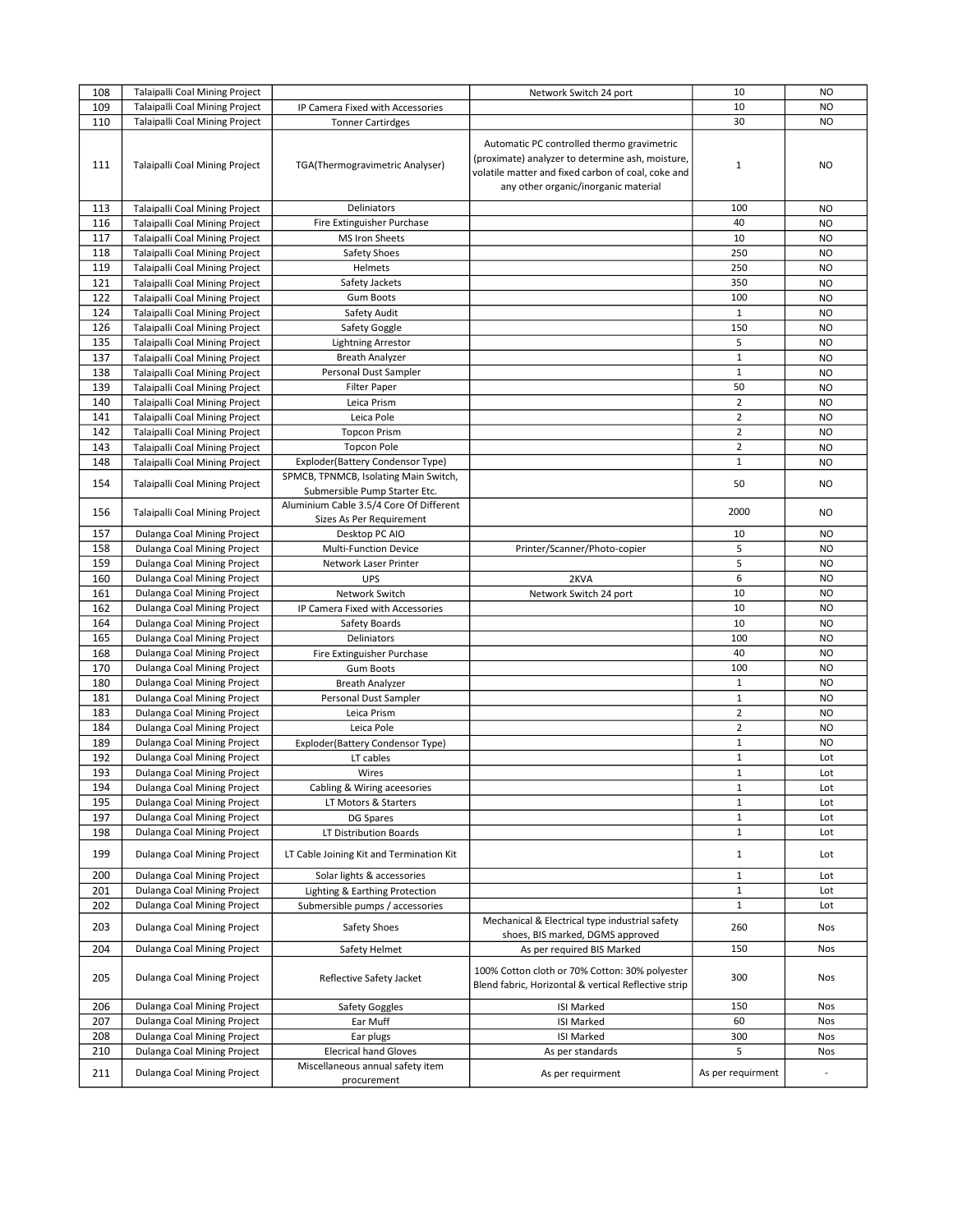|     |                                       |                                                                        | Network Switch 24 port                                                                                                                                                                       | 10                      | <b>NO</b>      |
|-----|---------------------------------------|------------------------------------------------------------------------|----------------------------------------------------------------------------------------------------------------------------------------------------------------------------------------------|-------------------------|----------------|
| 109 | Talaipalli Coal Mining Project        | IP Camera Fixed with Accessories                                       |                                                                                                                                                                                              | 10                      | <b>NO</b>      |
| 110 | <b>Talaipalli Coal Mining Project</b> | <b>Tonner Cartirdges</b>                                               |                                                                                                                                                                                              | 30                      | <b>NO</b>      |
| 111 | <b>Talaipalli Coal Mining Project</b> | TGA(Thermogravimetric Analyser)                                        | Automatic PC controlled thermo gravimetric<br>(proximate) analyzer to determine ash, moisture,<br>volatile matter and fixed carbon of coal, coke and<br>any other organic/inorganic material | $\mathbf 1$             | <b>NO</b>      |
| 113 | Talaipalli Coal Mining Project        | Deliniators                                                            |                                                                                                                                                                                              | 100                     | <b>NO</b>      |
| 116 | <b>Talaipalli Coal Mining Project</b> | Fire Extinguisher Purchase                                             |                                                                                                                                                                                              | 40                      | <b>NO</b>      |
| 117 | <b>Talaipalli Coal Mining Project</b> | MS Iron Sheets                                                         |                                                                                                                                                                                              | 10                      | <b>NO</b>      |
| 118 | Talaipalli Coal Mining Project        | Safety Shoes                                                           |                                                                                                                                                                                              | 250                     | <b>NO</b>      |
| 119 | Talaipalli Coal Mining Project        | Helmets                                                                |                                                                                                                                                                                              | 250                     | N <sub>O</sub> |
| 121 | <b>Talaipalli Coal Mining Project</b> | Safety Jackets                                                         |                                                                                                                                                                                              | 350                     | <b>NO</b>      |
| 122 | <b>Talaipalli Coal Mining Project</b> | <b>Gum Boots</b>                                                       |                                                                                                                                                                                              | 100                     | <b>NO</b>      |
| 124 | <b>Talaipalli Coal Mining Project</b> | Safety Audit                                                           |                                                                                                                                                                                              | $\mathbf{1}$            | <b>NO</b>      |
| 126 | Talaipalli Coal Mining Project        | Safety Goggle                                                          |                                                                                                                                                                                              | 150                     | <b>NO</b>      |
| 135 | Talaipalli Coal Mining Project        | <b>Lightning Arrestor</b>                                              |                                                                                                                                                                                              | 5                       | N <sub>O</sub> |
| 137 | <b>Talaipalli Coal Mining Project</b> | <b>Breath Analyzer</b>                                                 |                                                                                                                                                                                              | $\mathbf 1$             | <b>NO</b>      |
| 138 | <b>Talaipalli Coal Mining Project</b> | Personal Dust Sampler                                                  |                                                                                                                                                                                              | $\mathbf 1$             | <b>NO</b>      |
| 139 | <b>Talaipalli Coal Mining Project</b> | <b>Filter Paper</b>                                                    |                                                                                                                                                                                              | 50                      | <b>NO</b>      |
| 140 | <b>Talaipalli Coal Mining Project</b> | Leica Prism                                                            |                                                                                                                                                                                              | $\mathbf 2$             | <b>NO</b>      |
| 141 | Talaipalli Coal Mining Project        | Leica Pole                                                             |                                                                                                                                                                                              | $\overline{2}$          | <b>NO</b>      |
| 142 | <b>Talaipalli Coal Mining Project</b> | <b>Topcon Prism</b>                                                    |                                                                                                                                                                                              | $\overline{\mathbf{c}}$ | <b>NO</b>      |
| 143 | <b>Talaipalli Coal Mining Project</b> | <b>Topcon Pole</b>                                                     |                                                                                                                                                                                              | $\overline{2}$          | <b>NO</b>      |
| 148 | Talaipalli Coal Mining Project        | Exploder(Battery Condensor Type)                                       |                                                                                                                                                                                              | $\mathbf 1$             | <b>NO</b>      |
| 154 | <b>Talaipalli Coal Mining Project</b> | SPMCB, TPNMCB, Isolating Main Switch,<br>Submersible Pump Starter Etc. |                                                                                                                                                                                              | 50                      | <b>NO</b>      |
| 156 | <b>Talaipalli Coal Mining Project</b> | Aluminium Cable 3.5/4 Core Of Different                                |                                                                                                                                                                                              | 2000                    | <b>NO</b>      |
| 157 | Dulanga Coal Mining Project           | Sizes As Per Requirement<br>Desktop PC AIO                             |                                                                                                                                                                                              | 10                      | <b>NO</b>      |
| 158 | Dulanga Coal Mining Project           | <b>Multi-Function Device</b>                                           | Printer/Scanner/Photo-copier                                                                                                                                                                 | 5                       | <b>NO</b>      |
| 159 | Dulanga Coal Mining Project           | Network Laser Printer                                                  |                                                                                                                                                                                              | 5                       | <b>NO</b>      |
| 160 | Dulanga Coal Mining Project           | UPS                                                                    | 2KVA                                                                                                                                                                                         | 6                       | <b>NO</b>      |
| 161 | Dulanga Coal Mining Project           | Network Switch                                                         | Network Switch 24 port                                                                                                                                                                       | 10                      | <b>NO</b>      |
| 162 | Dulanga Coal Mining Project           | IP Camera Fixed with Accessories                                       |                                                                                                                                                                                              | 10                      | <b>NO</b>      |
| 164 | Dulanga Coal Mining Project           | Safety Boards                                                          |                                                                                                                                                                                              | 10                      | <b>NO</b>      |
| 165 | Dulanga Coal Mining Project           | Deliniators                                                            |                                                                                                                                                                                              | 100                     | <b>NO</b>      |
| 168 | Dulanga Coal Mining Project           | Fire Extinguisher Purchase                                             |                                                                                                                                                                                              | 40                      | <b>NO</b>      |
| 170 | Dulanga Coal Mining Project           | <b>Gum Boots</b>                                                       |                                                                                                                                                                                              | 100                     | <b>NO</b>      |
| 180 | Dulanga Coal Mining Project           | <b>Breath Analyzer</b>                                                 |                                                                                                                                                                                              | $\mathbf 1$             | <b>NO</b>      |
| 181 | Dulanga Coal Mining Project           | Personal Dust Sampler                                                  |                                                                                                                                                                                              | $\mathbf 1$             | <b>NO</b>      |
| 183 | Dulanga Coal Mining Project           | Leica Prism                                                            |                                                                                                                                                                                              | $\overline{\mathbf{c}}$ | <b>NO</b>      |
| 184 | Dulanga Coal Mining Project           | Leica Pole                                                             |                                                                                                                                                                                              | $\overline{2}$          | <b>NO</b>      |
| 189 | Dulanga Coal Mining Project           | Exploder(Battery Condensor Type)                                       |                                                                                                                                                                                              | $\mathbf 1$             | <b>NO</b>      |
| 192 | Dulanga Coal Mining Project           | LT cables                                                              |                                                                                                                                                                                              | $\mathbf 1$             | Lot            |
| 193 | Dulanga Coal Mining Project           | Wires                                                                  |                                                                                                                                                                                              | $\mathbf 1$             | Lot            |
| 194 | Dulanga Coal Mining Project           | Cabling & Wiring aceesories                                            |                                                                                                                                                                                              | 1                       | Lot            |
| 195 | Dulanga Coal Mining Project           | LT Motors & Starters                                                   |                                                                                                                                                                                              | $\mathbf 1$             | Lot            |
| 197 | Dulanga Coal Mining Project           | DG Spares                                                              |                                                                                                                                                                                              | $\mathbf 1$             | Lot            |
| 198 | Dulanga Coal Mining Project           | LT Distribution Boards                                                 |                                                                                                                                                                                              | $\mathbf 1$             | Lot            |
| 199 | Dulanga Coal Mining Project           | LT Cable Joining Kit and Termination Kit                               |                                                                                                                                                                                              | 1                       | Lot            |
| 200 | Dulanga Coal Mining Project           | Solar lights & accessories                                             |                                                                                                                                                                                              | $\mathbf 1$             | Lot            |
| 201 | Dulanga Coal Mining Project           | Lighting & Earthing Protection                                         |                                                                                                                                                                                              | $\mathbf 1$             | Lot            |
| 202 | Dulanga Coal Mining Project           | Submersible pumps / accessories                                        |                                                                                                                                                                                              | $\mathbf{1}$            | Lot            |
| 203 | Dulanga Coal Mining Project           | Safety Shoes                                                           | Mechanical & Electrical type industrial safety<br>shoes, BIS marked, DGMS approved                                                                                                           | 260                     | Nos            |
| 204 | Dulanga Coal Mining Project           | Safety Helmet                                                          | As per required BIS Marked                                                                                                                                                                   | 150                     | Nos            |
| 205 | Dulanga Coal Mining Project           | Reflective Safety Jacket                                               | 100% Cotton cloth or 70% Cotton: 30% polyester<br>Blend fabric, Horizontal & vertical Reflective strip                                                                                       | 300                     | Nos            |
| 206 | Dulanga Coal Mining Project           | Safety Goggles                                                         | <b>ISI Marked</b>                                                                                                                                                                            | 150                     | Nos            |
| 207 | Dulanga Coal Mining Project           | Ear Muff                                                               | <b>ISI Marked</b>                                                                                                                                                                            | 60                      | Nos            |
| 208 | Dulanga Coal Mining Project           | Ear plugs                                                              | <b>ISI Marked</b>                                                                                                                                                                            | 300                     | Nos            |
| 210 | Dulanga Coal Mining Project           | <b>Elecrical hand Gloves</b>                                           | As per standards                                                                                                                                                                             | 5                       | Nos            |
| 211 | Dulanga Coal Mining Project           | Miscellaneous annual safety item<br>procurement                        | As per requirment                                                                                                                                                                            | As per requirment       |                |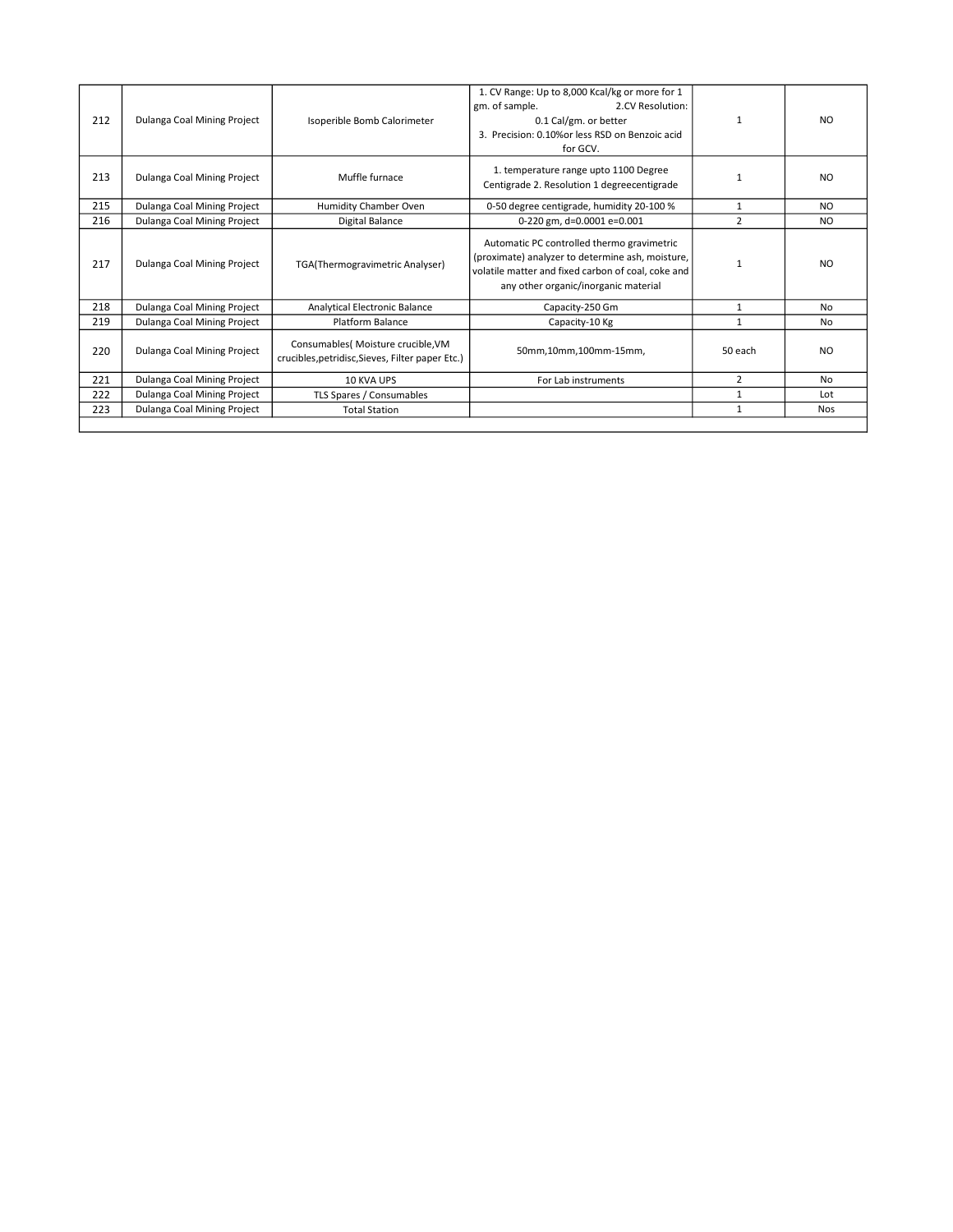| 212 | Dulanga Coal Mining Project | Isoperible Bomb Calorimeter                                                            | 1. CV Range: Up to 8,000 Kcal/kg or more for 1<br>gm. of sample.<br>2.CV Resolution:<br>0.1 Cal/gm. or better<br>3. Precision: 0.10% or less RSD on Benzoic acid<br>for GCV.                 |                | N <sub>O</sub> |
|-----|-----------------------------|----------------------------------------------------------------------------------------|----------------------------------------------------------------------------------------------------------------------------------------------------------------------------------------------|----------------|----------------|
| 213 | Dulanga Coal Mining Project | Muffle furnace                                                                         | 1. temperature range upto 1100 Degree<br>Centigrade 2. Resolution 1 degreecentigrade                                                                                                         | $\mathbf{1}$   | N <sub>O</sub> |
| 215 | Dulanga Coal Mining Project | Humidity Chamber Oven                                                                  | 0-50 degree centigrade, humidity 20-100 %                                                                                                                                                    | 1              | NO.            |
| 216 | Dulanga Coal Mining Project | Digital Balance                                                                        | 0-220 gm, d=0.0001 e=0.001                                                                                                                                                                   | $\overline{2}$ | NO.            |
| 217 | Dulanga Coal Mining Project | TGA(Thermogravimetric Analyser)                                                        | Automatic PC controlled thermo gravimetric<br>(proximate) analyzer to determine ash, moisture,<br>volatile matter and fixed carbon of coal, coke and<br>any other organic/inorganic material | $\mathbf{1}$   | N <sub>O</sub> |
| 218 | Dulanga Coal Mining Project | Analytical Electronic Balance                                                          | Capacity-250 Gm                                                                                                                                                                              | 1              | No             |
| 219 | Dulanga Coal Mining Project | Platform Balance                                                                       | Capacity-10 Kg                                                                                                                                                                               | $\mathbf{1}$   | <b>No</b>      |
| 220 | Dulanga Coal Mining Project | Consumables( Moisture crucible, VM<br>crucibles, petridisc, Sieves, Filter paper Etc.) | 50mm,10mm,100mm-15mm,                                                                                                                                                                        | 50 each        | N <sub>O</sub> |
| 221 | Dulanga Coal Mining Project | 10 KVA UPS                                                                             | For Lab instruments                                                                                                                                                                          | $\overline{2}$ | <b>No</b>      |
| 222 | Dulanga Coal Mining Project | TLS Spares / Consumables                                                               |                                                                                                                                                                                              | 1              | Lot            |
| 223 | Dulanga Coal Mining Project | <b>Total Station</b>                                                                   |                                                                                                                                                                                              | $\mathbf{1}$   | <b>Nos</b>     |
|     |                             |                                                                                        |                                                                                                                                                                                              |                |                |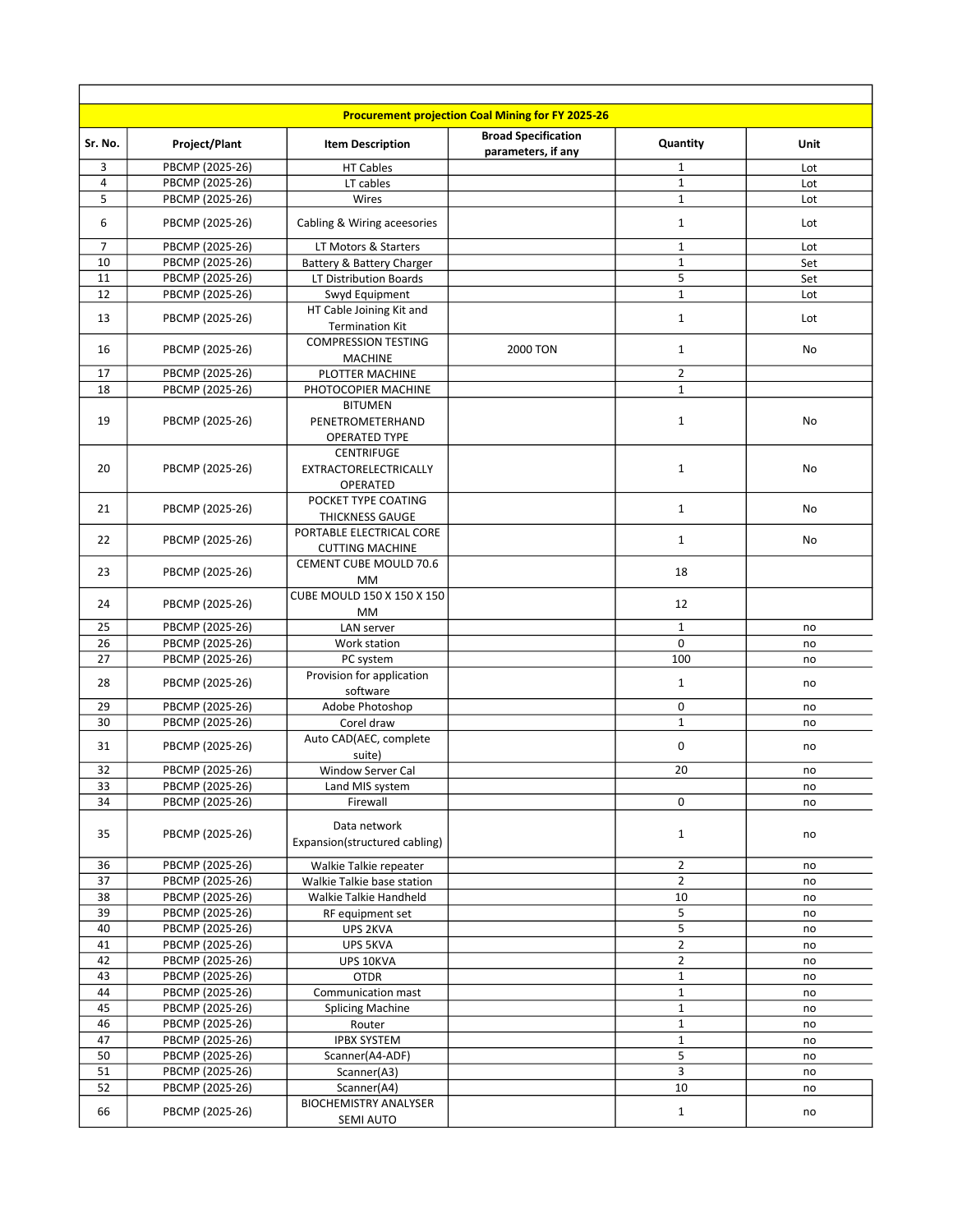|                |                                    |                                                            | <b>Procurement projection Coal Mining for FY 2025-26</b> |                                  |             |
|----------------|------------------------------------|------------------------------------------------------------|----------------------------------------------------------|----------------------------------|-------------|
| Sr. No.        | Project/Plant                      | <b>Item Description</b>                                    | <b>Broad Specification</b><br>parameters, if any         | Quantity                         | <b>Unit</b> |
| 3              | PBCMP (2025-26)                    | <b>HT Cables</b>                                           |                                                          | $\mathbf 1$                      | Lot         |
| $\overline{4}$ | PBCMP (2025-26)                    | LT cables                                                  |                                                          | $\mathbf{1}$                     | Lot         |
| 5              | PBCMP (2025-26)                    | Wires                                                      |                                                          | $\mathbf{1}$                     | Lot         |
| 6              | PBCMP (2025-26)                    | Cabling & Wiring aceesories                                |                                                          | $\mathbf{1}$                     | Lot         |
| 7              | PBCMP (2025-26)                    | LT Motors & Starters                                       |                                                          | $\mathbf 1$                      | Lot         |
| 10             | PBCMP (2025-26)                    | Battery & Battery Charger                                  |                                                          | $\mathbf 1$                      | Set         |
| 11             | PBCMP (2025-26)                    | LT Distribution Boards                                     |                                                          | 5                                | Set         |
| 12             | PBCMP (2025-26)                    | Swyd Equipment                                             |                                                          | $\mathbf 1$                      | Lot         |
| 13             | PBCMP (2025-26)                    | HT Cable Joining Kit and<br><b>Termination Kit</b>         |                                                          | $\mathbf{1}$                     | Lot         |
| 16             | PBCMP (2025-26)                    | <b>COMPRESSION TESTING</b>                                 | <b>2000 TON</b>                                          | $\mathbf{1}$                     | No          |
|                |                                    | <b>MACHINE</b>                                             |                                                          |                                  |             |
| 17             | PBCMP (2025-26)                    | PLOTTER MACHINE                                            |                                                          | $\overline{2}$                   |             |
| 18             | PBCMP (2025-26)                    | PHOTOCOPIER MACHINE                                        |                                                          | $\mathbf{1}$                     |             |
| 19             | PBCMP (2025-26)                    | <b>BITUMEN</b><br>PENETROMETERHAND<br><b>OPERATED TYPE</b> |                                                          | $\mathbf{1}$                     | No          |
| 20             | PBCMP (2025-26)                    | <b>CENTRIFUGE</b><br>EXTRACTORELECTRICALLY<br>OPERATED     |                                                          | $\mathbf{1}$                     | No          |
| 21             | PBCMP (2025-26)                    | POCKET TYPE COATING<br><b>THICKNESS GAUGE</b>              |                                                          | $\mathbf{1}$                     | No          |
| 22             | PBCMP (2025-26)                    | PORTABLE ELECTRICAL CORE<br><b>CUTTING MACHINE</b>         |                                                          | $\mathbf{1}$                     | No          |
| 23             | PBCMP (2025-26)                    | CEMENT CUBE MOULD 70.6<br>МM                               |                                                          | 18                               |             |
| 24             | PBCMP (2025-26)                    | CUBE MOULD 150 X 150 X 150<br><b>MM</b>                    |                                                          | 12                               |             |
| 25             | PBCMP (2025-26)                    | LAN server                                                 |                                                          | $\mathbf{1}$                     | no          |
| 26             | PBCMP (2025-26)                    | Work station                                               |                                                          | $\Omega$                         | no          |
| 27             | PBCMP (2025-26)                    | PC system                                                  |                                                          | 100                              | no          |
| 28             | PBCMP (2025-26)                    | Provision for application<br>software                      |                                                          | $\mathbf{1}$                     | no          |
| 29             | PBCMP (2025-26)                    | Adobe Photoshop                                            |                                                          | 0                                | no          |
| 30             | PBCMP (2025-26)                    | Corel draw                                                 |                                                          | $\mathbf 1$                      | no          |
| 31             | PBCMP (2025-26)                    | Auto CAD(AEC, complete<br>suite)                           |                                                          | $\mathbf 0$                      | no          |
| 32             | PBCMP (2025-26)                    | <b>Window Server Cal</b>                                   |                                                          | 20                               | no          |
| 33             | PBCMP (2025-26)                    | Land MIS system                                            |                                                          |                                  | no          |
| 34             | PBCMP (2025-26)                    | Firewall                                                   |                                                          | 0                                | no          |
| 35             | PBCMP (2025-26)                    | Data network<br>Expansion(structured cabling)              |                                                          | $\mathbf{1}$                     | no          |
| 36             | PBCMP (2025-26)                    | Walkie Talkie repeater                                     |                                                          | $\overline{2}$                   | no          |
| 37             | PBCMP (2025-26)                    | Walkie Talkie base station                                 |                                                          | $\overline{2}$                   | no          |
| 38             | PBCMP (2025-26)                    | Walkie Talkie Handheld                                     |                                                          | 10                               | no          |
| 39             | PBCMP (2025-26)                    | RF equipment set                                           |                                                          | 5                                | no          |
| 40             | PBCMP (2025-26)                    | UPS 2KVA                                                   |                                                          | 5                                | no          |
| 41<br>42       | PBCMP (2025-26)<br>PBCMP (2025-26) | UPS 5KVA<br>UPS 10KVA                                      |                                                          | $\overline{2}$<br>$\overline{2}$ | no          |
| 43             | PBCMP (2025-26)                    | <b>OTDR</b>                                                |                                                          | $\mathbf{1}$                     | no<br>no    |
| 44             | PBCMP (2025-26)                    | Communication mast                                         |                                                          | $\mathbf{1}$                     | no          |
| 45             | PBCMP (2025-26)                    | <b>Splicing Machine</b>                                    |                                                          | $\mathbf 1$                      | no          |
| 46             | PBCMP (2025-26)                    | Router                                                     |                                                          | $\mathbf 1$                      | no          |
| 47             | PBCMP (2025-26)                    | <b>IPBX SYSTEM</b>                                         |                                                          | $\mathbf 1$                      | no          |
| 50             | PBCMP (2025-26)                    | Scanner(A4-ADF)                                            |                                                          | 5                                | no          |
| 51             | PBCMP (2025-26)                    | Scanner(A3)                                                |                                                          | 3                                | no          |
| 52             | PBCMP (2025-26)                    | Scanner(A4)                                                |                                                          | 10                               | no          |
| 66             | PBCMP (2025-26)                    | <b>BIOCHEMISTRY ANALYSER</b><br>SEMI AUTO                  |                                                          | $\mathbf{1}$                     | no          |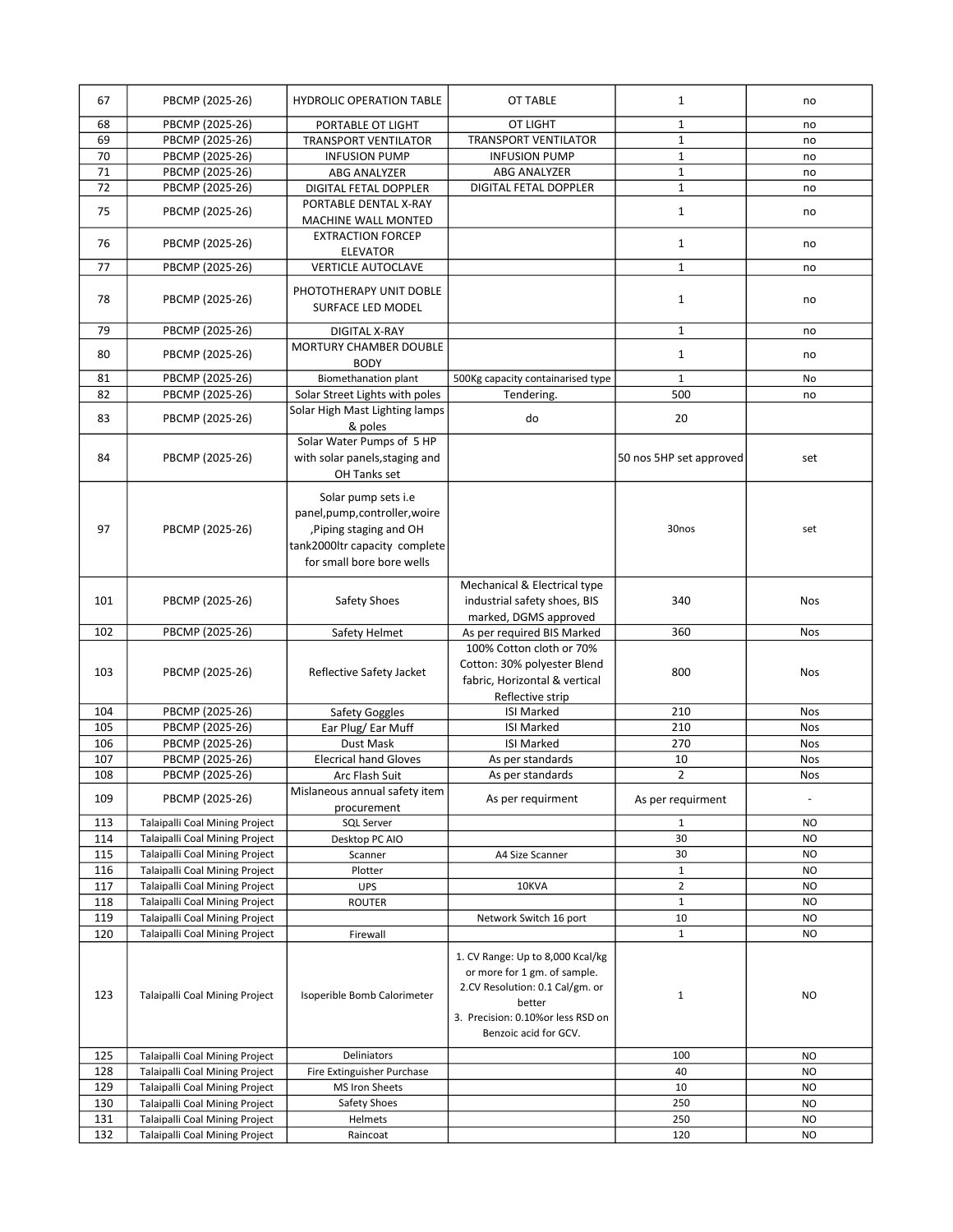| 67<br>68<br>69 | PBCMP (2025-26)                                                         |                                                                                                                                             |                                                                                                                                                                             |                         |                          |
|----------------|-------------------------------------------------------------------------|---------------------------------------------------------------------------------------------------------------------------------------------|-----------------------------------------------------------------------------------------------------------------------------------------------------------------------------|-------------------------|--------------------------|
|                |                                                                         | <b>HYDROLIC OPERATION TABLE</b>                                                                                                             | OT TABLE                                                                                                                                                                    | $\mathbf{1}$            | no                       |
|                | PBCMP (2025-26)                                                         | PORTABLE OT LIGHT                                                                                                                           | OT LIGHT                                                                                                                                                                    | 1                       | no                       |
|                | PBCMP (2025-26)                                                         | <b>TRANSPORT VENTILATOR</b>                                                                                                                 | <b>TRANSPORT VENTILATOR</b>                                                                                                                                                 | $\mathbf{1}$            | no                       |
| 70             | PBCMP (2025-26)                                                         | <b>INFUSION PUMP</b>                                                                                                                        | <b>INFUSION PUMP</b>                                                                                                                                                        | $\mathbf{1}$            | no                       |
| 71             | PBCMP (2025-26)                                                         | ABG ANALYZER                                                                                                                                | ABG ANALYZER                                                                                                                                                                | $\mathbf 1$             | no                       |
| 72             | PBCMP (2025-26)                                                         | DIGITAL FETAL DOPPLER                                                                                                                       | DIGITAL FETAL DOPPLER                                                                                                                                                       | $\mathbf 1$             | no                       |
| 75             | PBCMP (2025-26)                                                         | PORTABLE DENTAL X-RAY<br>MACHINE WALL MONTED                                                                                                |                                                                                                                                                                             | $\mathbf{1}$            | no                       |
| 76             | PBCMP (2025-26)                                                         | <b>EXTRACTION FORCEP</b><br><b>ELEVATOR</b>                                                                                                 |                                                                                                                                                                             | $\mathbf{1}$            | no                       |
| 77             | PBCMP (2025-26)                                                         | <b>VERTICLE AUTOCLAVE</b>                                                                                                                   |                                                                                                                                                                             | $\mathbf{1}$            | no                       |
| 78             | PBCMP (2025-26)                                                         | PHOTOTHERAPY UNIT DOBLE<br>SURFACE LED MODEL                                                                                                |                                                                                                                                                                             | 1                       | no                       |
| 79             | PBCMP (2025-26)                                                         | DIGITAL X-RAY                                                                                                                               |                                                                                                                                                                             | $\mathbf{1}$            | no                       |
| 80             | PBCMP (2025-26)                                                         | <b>MORTURY CHAMBER DOUBLE</b>                                                                                                               |                                                                                                                                                                             | $\mathbf{1}$            | no                       |
|                |                                                                         | <b>BODY</b>                                                                                                                                 |                                                                                                                                                                             |                         |                          |
| 81             | PBCMP (2025-26)                                                         | Biomethanation plant                                                                                                                        | 500Kg capacity containarised type                                                                                                                                           | $\mathbf{1}$            | No                       |
| 82             | PBCMP (2025-26)                                                         | Solar Street Lights with poles                                                                                                              | Tendering.                                                                                                                                                                  | 500                     | no                       |
| 83             | PBCMP (2025-26)                                                         | Solar High Mast Lighting lamps<br>& poles                                                                                                   | do                                                                                                                                                                          | 20                      |                          |
| 84             | PBCMP (2025-26)                                                         | Solar Water Pumps of 5 HP<br>with solar panels, staging and<br>OH Tanks set                                                                 |                                                                                                                                                                             | 50 nos 5HP set approved | set                      |
| 97             | PBCMP (2025-26)                                                         | Solar pump sets i.e<br>panel,pump,controller,woire<br>, Piping staging and OH<br>tank2000ltr capacity complete<br>for small bore bore wells |                                                                                                                                                                             | 30nos                   | set                      |
| 101            | PBCMP (2025-26)                                                         | Safety Shoes                                                                                                                                | Mechanical & Electrical type<br>industrial safety shoes, BIS<br>marked, DGMS approved                                                                                       | 340                     | <b>Nos</b>               |
|                | PBCMP (2025-26)                                                         | Safety Helmet                                                                                                                               |                                                                                                                                                                             | 360                     |                          |
| 102            |                                                                         |                                                                                                                                             | As per required BIS Marked                                                                                                                                                  |                         | Nos                      |
| 103            | PBCMP (2025-26)                                                         | Reflective Safety Jacket                                                                                                                    | 100% Cotton cloth or 70%<br>Cotton: 30% polyester Blend<br>fabric, Horizontal & vertical                                                                                    | 800                     | <b>Nos</b>               |
|                |                                                                         |                                                                                                                                             | Reflective strip                                                                                                                                                            |                         |                          |
| 104<br>105     | PBCMP (2025-26)                                                         | Safety Goggles                                                                                                                              | <b>ISI Marked</b>                                                                                                                                                           | 210<br>210              | <b>Nos</b>               |
|                | PBCMP (2025-26)                                                         | Ear Plug/Ear Muff<br>Dust Mask                                                                                                              | <b>ISI Marked</b><br><b>ISI Marked</b>                                                                                                                                      | 270                     | Nos<br>Nos               |
| 106            | PBCMP (2025-26)<br>PBCMP (2025-26)                                      | <b>Elecrical hand Gloves</b>                                                                                                                |                                                                                                                                                                             |                         | Nos                      |
| 107<br>108     |                                                                         | Arc Flash Suit                                                                                                                              | As per standards<br>As per standards                                                                                                                                        | 10<br>$\overline{2}$    | <b>Nos</b>               |
| 109            | PBCMP (2025-26)<br>PBCMP (2025-26)                                      | Mislaneous annual safety item<br>procurement                                                                                                | As per requirment                                                                                                                                                           | As per requirment       | $\overline{\phantom{a}}$ |
| 113            | <b>Talaipalli Coal Mining Project</b>                                   | <b>SQL Server</b>                                                                                                                           |                                                                                                                                                                             | $\mathbf{1}$            | NO                       |
| 114            | Talaipalli Coal Mining Project                                          | Desktop PC AIO                                                                                                                              |                                                                                                                                                                             | 30                      | NO                       |
| 115            | Talaipalli Coal Mining Project                                          | Scanner                                                                                                                                     | A4 Size Scanner                                                                                                                                                             | 30                      | <b>NO</b>                |
| 116            | Talaipalli Coal Mining Project                                          | Plotter                                                                                                                                     |                                                                                                                                                                             | $\mathbf{1}$            | <b>NO</b>                |
| 117            | Talaipalli Coal Mining Project                                          | <b>UPS</b>                                                                                                                                  | 10KVA                                                                                                                                                                       | $\overline{2}$          | <b>NO</b>                |
| 118            | Talaipalli Coal Mining Project                                          | <b>ROUTER</b>                                                                                                                               |                                                                                                                                                                             | $\mathbf 1$             | <b>NO</b>                |
| 119            | Talaipalli Coal Mining Project                                          |                                                                                                                                             | Network Switch 16 port                                                                                                                                                      | 10                      | NO.                      |
| 120            | Talaipalli Coal Mining Project                                          | Firewall                                                                                                                                    |                                                                                                                                                                             | $\mathbf{1}$            | <b>NO</b>                |
| 123            | <b>Talaipalli Coal Mining Project</b>                                   | Isoperible Bomb Calorimeter                                                                                                                 | 1. CV Range: Up to 8,000 Kcal/kg<br>or more for 1 gm. of sample.<br>2.CV Resolution: 0.1 Cal/gm. or<br>better<br>3. Precision: 0.10%or less RSD on<br>Benzoic acid for GCV. | $\mathbf{1}$            | NO.                      |
| 125            | Talaipalli Coal Mining Project                                          | Deliniators                                                                                                                                 |                                                                                                                                                                             | 100                     | NO                       |
| 128            | <b>Talaipalli Coal Mining Project</b>                                   | Fire Extinguisher Purchase                                                                                                                  |                                                                                                                                                                             | 40                      | NO                       |
| 129            | Talaipalli Coal Mining Project                                          | MS Iron Sheets                                                                                                                              |                                                                                                                                                                             | 10                      | NO.                      |
| 130            | Talaipalli Coal Mining Project                                          | Safety Shoes                                                                                                                                |                                                                                                                                                                             | 250                     | NO                       |
| 131<br>132     | Talaipalli Coal Mining Project<br><b>Talaipalli Coal Mining Project</b> | Helmets<br>Raincoat                                                                                                                         |                                                                                                                                                                             | 250<br>120              | NO<br>NO                 |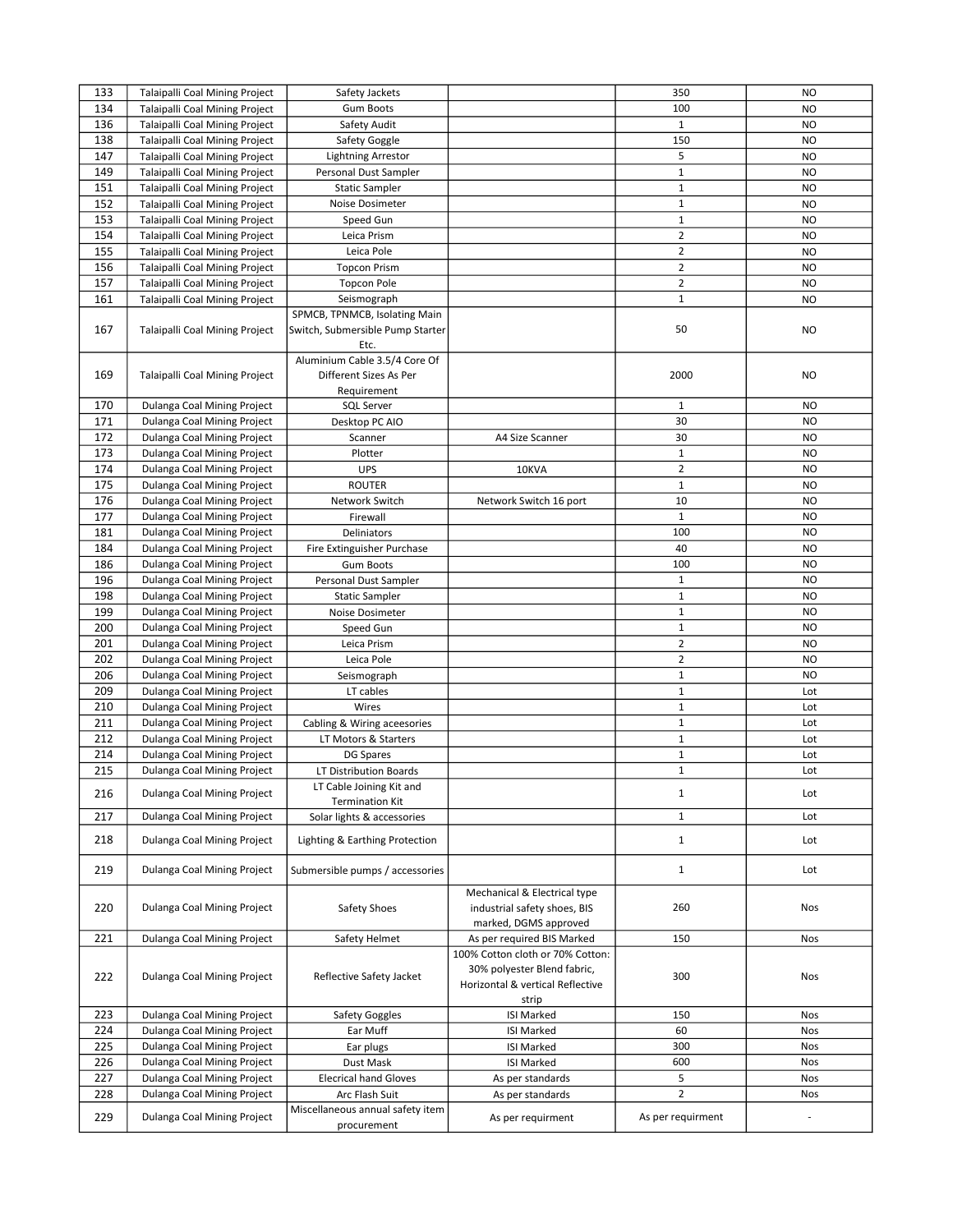| 133 | Talaipalli Coal Mining Project        | Safety Jackets                                                            |                                                                                                              | 350               | <b>NO</b>      |
|-----|---------------------------------------|---------------------------------------------------------------------------|--------------------------------------------------------------------------------------------------------------|-------------------|----------------|
| 134 | Talaipalli Coal Mining Project        | <b>Gum Boots</b>                                                          |                                                                                                              | 100               | <b>NO</b>      |
| 136 | Talaipalli Coal Mining Project        | Safety Audit                                                              |                                                                                                              | $\mathbf{1}$      | <b>NO</b>      |
| 138 | Talaipalli Coal Mining Project        | Safety Goggle                                                             |                                                                                                              | 150               | <b>NO</b>      |
| 147 | Talaipalli Coal Mining Project        | <b>Lightning Arrestor</b>                                                 |                                                                                                              | 5                 | <b>NO</b>      |
| 149 | Talaipalli Coal Mining Project        | Personal Dust Sampler                                                     |                                                                                                              | $\mathbf{1}$      | <b>NO</b>      |
| 151 | Talaipalli Coal Mining Project        | <b>Static Sampler</b>                                                     |                                                                                                              | $\mathbf 1$       | <b>NO</b>      |
| 152 | Talaipalli Coal Mining Project        | Noise Dosimeter                                                           |                                                                                                              | $\mathbf 1$       | <b>NO</b>      |
|     |                                       |                                                                           |                                                                                                              | $\mathbf 1$       |                |
| 153 | Talaipalli Coal Mining Project        | Speed Gun                                                                 |                                                                                                              |                   | <b>NO</b>      |
| 154 | Talaipalli Coal Mining Project        | Leica Prism                                                               |                                                                                                              | $\overline{2}$    | <b>NO</b>      |
| 155 | Talaipalli Coal Mining Project        | Leica Pole                                                                |                                                                                                              | $\overline{2}$    | <b>NO</b>      |
| 156 | <b>Talaipalli Coal Mining Project</b> | <b>Topcon Prism</b>                                                       |                                                                                                              | $\overline{2}$    | <b>NO</b>      |
| 157 | Talaipalli Coal Mining Project        | <b>Topcon Pole</b>                                                        |                                                                                                              | $\overline{2}$    | <b>NO</b>      |
| 161 | Talaipalli Coal Mining Project        | Seismograph                                                               |                                                                                                              | $\mathbf{1}$      | <b>NO</b>      |
| 167 | Talaipalli Coal Mining Project        | SPMCB, TPNMCB, Isolating Main<br>Switch, Submersible Pump Starter<br>Etc. |                                                                                                              | 50                | NO.            |
| 169 | Talaipalli Coal Mining Project        | Aluminium Cable 3.5/4 Core Of<br>Different Sizes As Per<br>Requirement    |                                                                                                              | 2000              | NO.            |
| 170 | Dulanga Coal Mining Project           | SQL Server                                                                |                                                                                                              | $\mathbf{1}$      | <b>NO</b>      |
| 171 | Dulanga Coal Mining Project           | Desktop PC AIO                                                            |                                                                                                              | 30                | <b>NO</b>      |
| 172 | Dulanga Coal Mining Project           | Scanner                                                                   | A4 Size Scanner                                                                                              | 30                | <b>NO</b>      |
| 173 | Dulanga Coal Mining Project           | Plotter                                                                   |                                                                                                              | $\mathbf{1}$      | <b>NO</b>      |
| 174 | Dulanga Coal Mining Project           | <b>UPS</b>                                                                | 10KVA                                                                                                        | $\overline{2}$    | NO             |
| 175 | Dulanga Coal Mining Project           | <b>ROUTER</b>                                                             |                                                                                                              | $\mathbf{1}$      | <b>NO</b>      |
| 176 | Dulanga Coal Mining Project           | Network Switch                                                            | Network Switch 16 port                                                                                       | 10                | N <sub>O</sub> |
| 177 | Dulanga Coal Mining Project           | Firewall                                                                  |                                                                                                              | $\mathbf{1}$      | NO             |
| 181 | Dulanga Coal Mining Project           | Deliniators                                                               |                                                                                                              | 100               | <b>NO</b>      |
| 184 | Dulanga Coal Mining Project           | Fire Extinguisher Purchase                                                |                                                                                                              | 40                | <b>NO</b>      |
| 186 | Dulanga Coal Mining Project           | <b>Gum Boots</b>                                                          |                                                                                                              | 100               | <b>NO</b>      |
| 196 | Dulanga Coal Mining Project           | Personal Dust Sampler                                                     |                                                                                                              | $\mathbf 1$       | <b>NO</b>      |
| 198 | Dulanga Coal Mining Project           | <b>Static Sampler</b>                                                     |                                                                                                              | $\mathbf{1}$      | NO.            |
| 199 | Dulanga Coal Mining Project           | Noise Dosimeter                                                           |                                                                                                              | $\mathbf 1$       | <b>NO</b>      |
| 200 | Dulanga Coal Mining Project           | Speed Gun                                                                 |                                                                                                              | $\mathbf{1}$      | <b>NO</b>      |
| 201 |                                       |                                                                           |                                                                                                              | $\overline{2}$    |                |
|     | Dulanga Coal Mining Project           | Leica Prism                                                               |                                                                                                              | $\overline{2}$    | <b>NO</b>      |
| 202 | Dulanga Coal Mining Project           | Leica Pole                                                                |                                                                                                              |                   | N <sub>O</sub> |
| 206 | Dulanga Coal Mining Project           | Seismograph                                                               |                                                                                                              | $\mathbf{1}$      | <b>NO</b>      |
| 209 | Dulanga Coal Mining Project           | LT cables                                                                 |                                                                                                              | $\mathbf 1$       | Lot            |
| 210 | Dulanga Coal Mining Project           | Wires                                                                     |                                                                                                              | $\mathbf 1$       | Lot            |
| 211 | Dulanga Coal Mining Project           | Cabling & Wiring aceesories                                               |                                                                                                              | $\mathbf{1}$      | Lot            |
| 212 | Dulanga Coal Mining Project           | LT Motors & Starters                                                      |                                                                                                              | $\mathbf{1}$      | Lot            |
| 214 | Dulanga Coal Mining Project           | DG Spares                                                                 |                                                                                                              | 1                 | Lot            |
| 215 | Dulanga Coal Mining Project           | LT Distribution Boards                                                    |                                                                                                              | $\mathbf 1$       | Lot            |
| 216 | Dulanga Coal Mining Project           | LT Cable Joining Kit and<br><b>Termination Kit</b>                        |                                                                                                              | $\mathbf{1}$      | Lot            |
| 217 | Dulanga Coal Mining Project           | Solar lights & accessories                                                |                                                                                                              | $\mathbf{1}$      | Lot            |
| 218 | Dulanga Coal Mining Project           | Lighting & Earthing Protection                                            |                                                                                                              | $\mathbf{1}$      | Lot            |
| 219 | Dulanga Coal Mining Project           | Submersible pumps / accessories                                           |                                                                                                              | $\mathbf{1}$      | Lot            |
| 220 | Dulanga Coal Mining Project           | Safety Shoes                                                              | Mechanical & Electrical type<br>industrial safety shoes, BIS<br>marked, DGMS approved                        | 260               | Nos            |
| 221 | Dulanga Coal Mining Project           | Safety Helmet                                                             | As per required BIS Marked                                                                                   | 150               | Nos            |
| 222 | Dulanga Coal Mining Project           | Reflective Safety Jacket                                                  | 100% Cotton cloth or 70% Cotton:<br>30% polyester Blend fabric,<br>Horizontal & vertical Reflective<br>strip | 300               | <b>Nos</b>     |
| 223 | Dulanga Coal Mining Project           | Safety Goggles                                                            | <b>ISI Marked</b>                                                                                            | 150               | <b>Nos</b>     |
| 224 | Dulanga Coal Mining Project           | Ear Muff                                                                  | <b>ISI Marked</b>                                                                                            | 60                | <b>Nos</b>     |
| 225 | Dulanga Coal Mining Project           | Ear plugs                                                                 | <b>ISI Marked</b>                                                                                            | 300               | <b>Nos</b>     |
| 226 | Dulanga Coal Mining Project           | Dust Mask                                                                 | <b>ISI Marked</b>                                                                                            | 600               | Nos            |
| 227 | Dulanga Coal Mining Project           | <b>Elecrical hand Gloves</b>                                              | As per standards                                                                                             | 5                 | Nos            |
| 228 | Dulanga Coal Mining Project           | Arc Flash Suit                                                            | As per standards                                                                                             | $\overline{2}$    | Nos            |
| 229 | Dulanga Coal Mining Project           | Miscellaneous annual safety item                                          | As per requirment                                                                                            | As per requirment |                |
|     |                                       | procurement                                                               |                                                                                                              |                   |                |